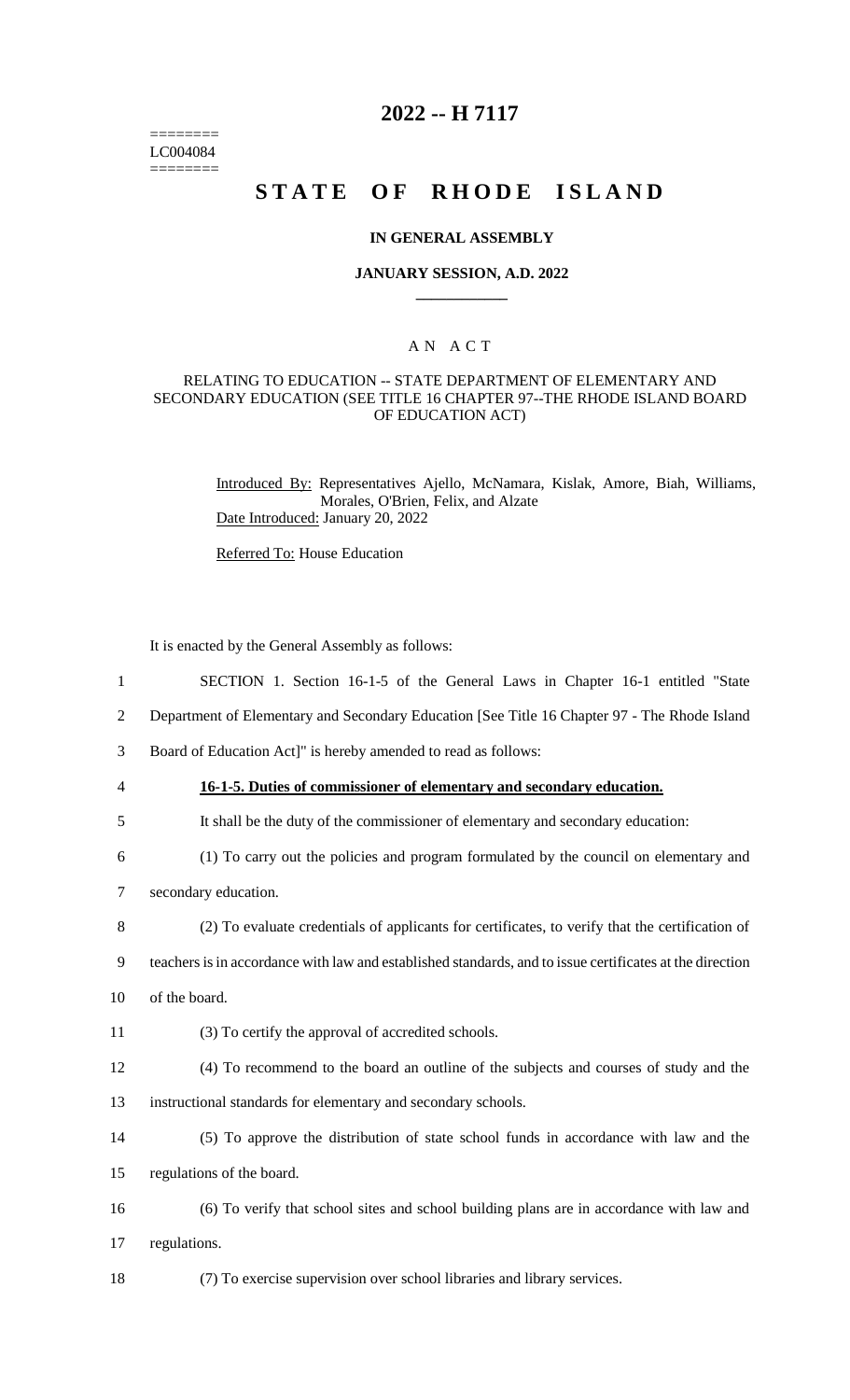======== LC004084 ========

## **2022 -- H 7117**

## **STATE OF RHODE ISLAND**

#### **IN GENERAL ASSEMBLY**

#### **JANUARY SESSION, A.D. 2022 \_\_\_\_\_\_\_\_\_\_\_\_**

## A N A C T

## RELATING TO EDUCATION -- STATE DEPARTMENT OF ELEMENTARY AND SECONDARY EDUCATION (SEE TITLE 16 CHAPTER 97--THE RHODE ISLAND BOARD OF EDUCATION ACT)

Introduced By: Representatives Ajello, McNamara, Kislak, Amore, Biah, Williams, Morales, O'Brien, Felix, and Alzate Date Introduced: January 20, 2022

Referred To: House Education

It is enacted by the General Assembly as follows:

- 2 Department of Elementary and Secondary Education [See Title 16 Chapter 97 The Rhode Island
- 3 Board of Education Act]" is hereby amended to read as follows:
- 4 **16-1-5. Duties of commissioner of elementary and secondary education.**
- 5 It shall be the duty of the commissioner of elementary and secondary education:
- 6 (1) To carry out the policies and program formulated by the council on elementary and
- 7 secondary education.
- 8 (2) To evaluate credentials of applicants for certificates, to verify that the certification of
- 9 teachers is in accordance with law and established standards, and to issue certificates at the direction
- 10 of the board.
- 11 (3) To certify the approval of accredited schools.
- 12 (4) To recommend to the board an outline of the subjects and courses of study and the
- 13 instructional standards for elementary and secondary schools.
- 14 (5) To approve the distribution of state school funds in accordance with law and the 15 regulations of the board.
- 16 (6) To verify that school sites and school building plans are in accordance with law and 17 regulations.
- 18 (7) To exercise supervision over school libraries and library services.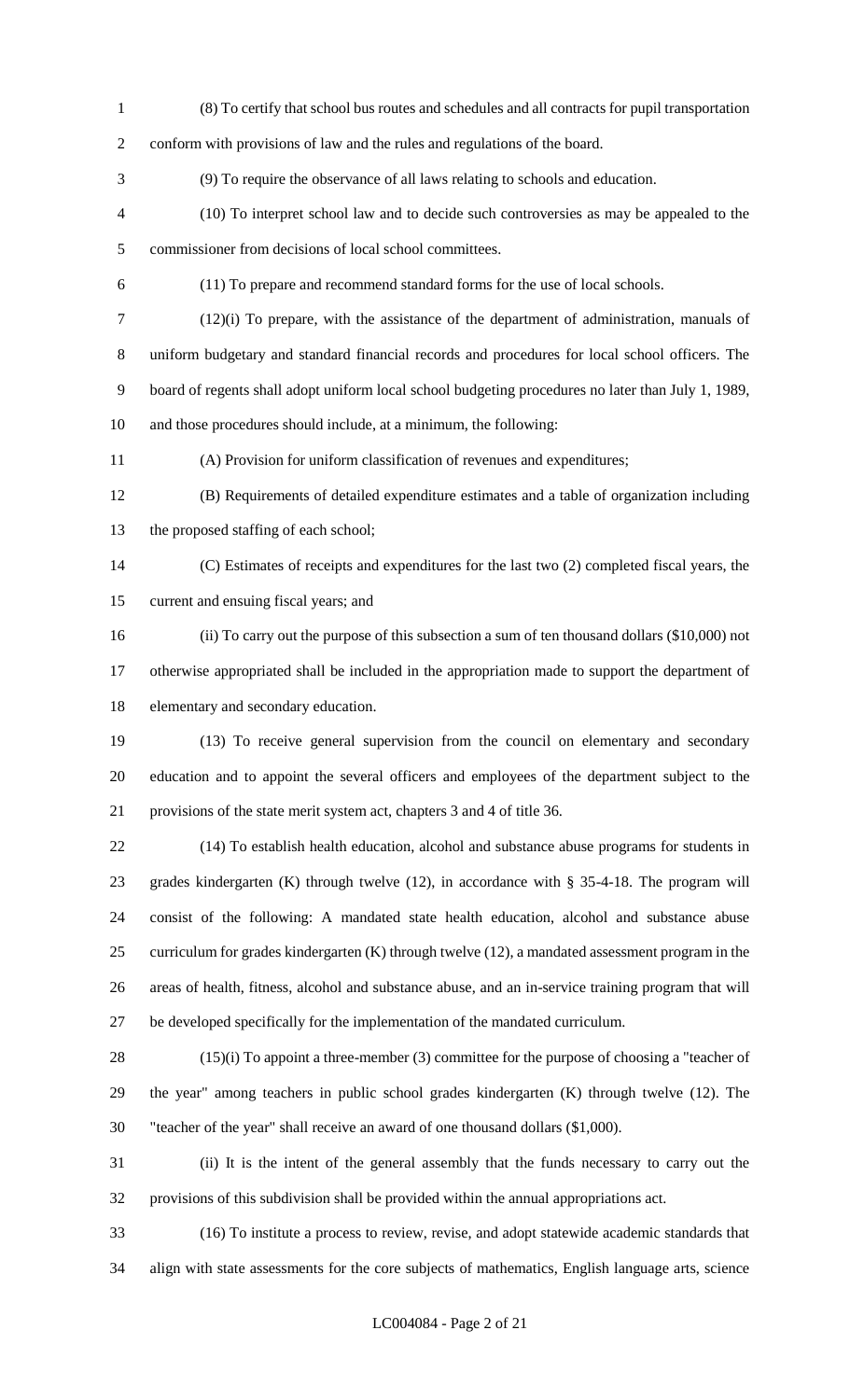(8) To certify that school bus routes and schedules and all contracts for pupil transportation conform with provisions of law and the rules and regulations of the board. (9) To require the observance of all laws relating to schools and education. (10) To interpret school law and to decide such controversies as may be appealed to the commissioner from decisions of local school committees. (11) To prepare and recommend standard forms for the use of local schools. (12)(i) To prepare, with the assistance of the department of administration, manuals of uniform budgetary and standard financial records and procedures for local school officers. The board of regents shall adopt uniform local school budgeting procedures no later than July 1, 1989, and those procedures should include, at a minimum, the following: (A) Provision for uniform classification of revenues and expenditures; (B) Requirements of detailed expenditure estimates and a table of organization including the proposed staffing of each school; (C) Estimates of receipts and expenditures for the last two (2) completed fiscal years, the current and ensuing fiscal years; and (ii) To carry out the purpose of this subsection a sum of ten thousand dollars (\$10,000) not

 otherwise appropriated shall be included in the appropriation made to support the department of elementary and secondary education.

 (13) To receive general supervision from the council on elementary and secondary education and to appoint the several officers and employees of the department subject to the provisions of the state merit system act, chapters 3 and 4 of title 36.

 (14) To establish health education, alcohol and substance abuse programs for students in grades kindergarten (K) through twelve (12), in accordance with § 35-4-18. The program will consist of the following: A mandated state health education, alcohol and substance abuse curriculum for grades kindergarten (K) through twelve (12), a mandated assessment program in the areas of health, fitness, alcohol and substance abuse, and an in-service training program that will be developed specifically for the implementation of the mandated curriculum.

 (15)(i) To appoint a three-member (3) committee for the purpose of choosing a "teacher of the year" among teachers in public school grades kindergarten (K) through twelve (12). The "teacher of the year" shall receive an award of one thousand dollars (\$1,000).

 (ii) It is the intent of the general assembly that the funds necessary to carry out the provisions of this subdivision shall be provided within the annual appropriations act.

 (16) To institute a process to review, revise, and adopt statewide academic standards that align with state assessments for the core subjects of mathematics, English language arts, science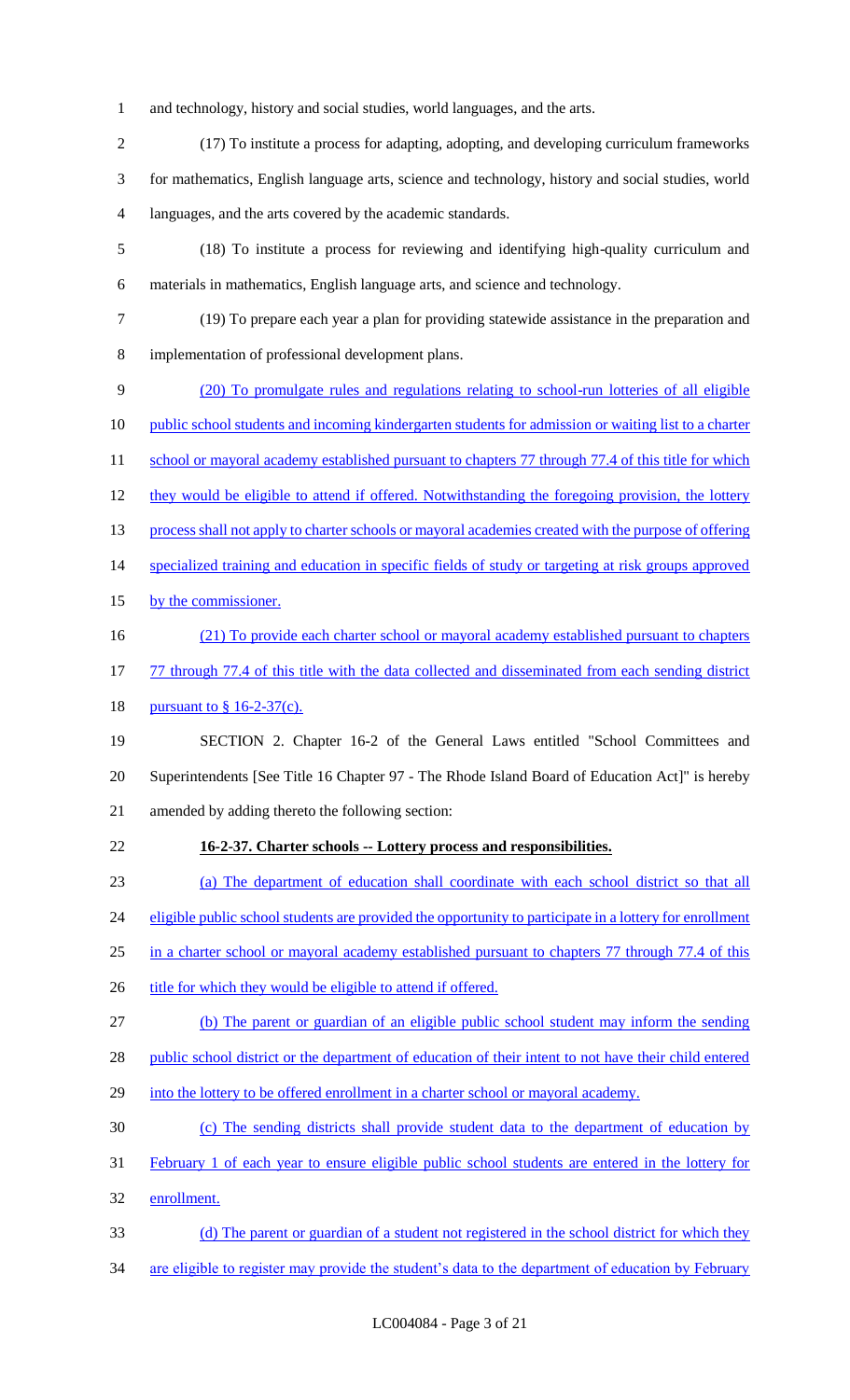- and technology, history and social studies, world languages, and the arts.
- (17) To institute a process for adapting, adopting, and developing curriculum frameworks for mathematics, English language arts, science and technology, history and social studies, world languages, and the arts covered by the academic standards.
- (18) To institute a process for reviewing and identifying high-quality curriculum and materials in mathematics, English language arts, and science and technology.
- (19) To prepare each year a plan for providing statewide assistance in the preparation and implementation of professional development plans.
- (20) To promulgate rules and regulations relating to school-run lotteries of all eligible 10 public school students and incoming kindergarten students for admission or waiting list to a charter 11 school or mayoral academy established pursuant to chapters 77 through 77.4 of this title for which 12 they would be eligible to attend if offered. Notwithstanding the foregoing provision, the lottery process shall not apply to charter schools or mayoral academies created with the purpose of offering 14 specialized training and education in specific fields of study or targeting at risk groups approved 15 by the commissioner. 16 (21) To provide each charter school or mayoral academy established pursuant to chapters 17 77 through 77.4 of this title with the data collected and disseminated from each sending district 18 <u>pursuant to § 16-2-37(c).</u> SECTION 2. Chapter 16-2 of the General Laws entitled "School Committees and Superintendents [See Title 16 Chapter 97 - The Rhode Island Board of Education Act]" is hereby
- amended by adding thereto the following section:
- 
- **16-2-37. Charter schools -- Lottery process and responsibilities.**
- (a) The department of education shall coordinate with each school district so that all

24 eligible public school students are provided the opportunity to participate in a lottery for enrollment

- in a charter school or mayoral academy established pursuant to chapters 77 through 77.4 of this
- 26 title for which they would be eligible to attend if offered.
- (b) The parent or guardian of an eligible public school student may inform the sending
- 28 public school district or the department of education of their intent to not have their child entered
- into the lottery to be offered enrollment in a charter school or mayoral academy.
- (c) The sending districts shall provide student data to the department of education by
- February 1 of each year to ensure eligible public school students are entered in the lottery for
- enrollment.
- (d) The parent or guardian of a student not registered in the school district for which they
- 34 are eligible to register may provide the student's data to the department of education by February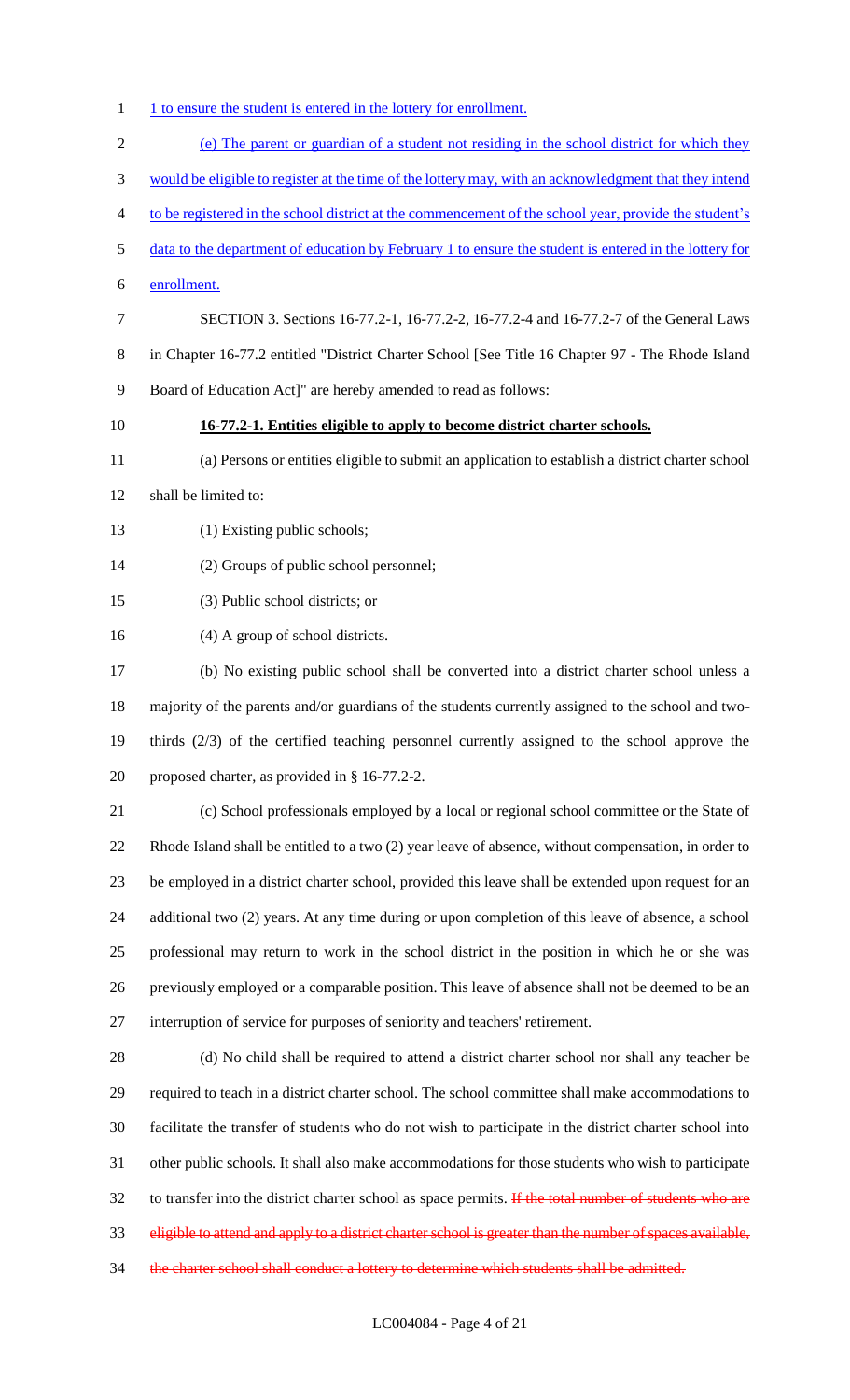- 1 1 to ensure the student is entered in the lottery for enrollment.
- (e) The parent or guardian of a student not residing in the school district for which they would be eligible to register at the time of the lottery may, with an acknowledgment that they intend to be registered in the school district at the commencement of the school year, provide the student's data to the department of education by February 1 to ensure the student is entered in the lottery for enrollment. SECTION 3. Sections 16-77.2-1, 16-77.2-2, 16-77.2-4 and 16-77.2-7 of the General Laws in Chapter 16-77.2 entitled "District Charter School [See Title 16 Chapter 97 - The Rhode Island Board of Education Act]" are hereby amended to read as follows: **16-77.2-1. Entities eligible to apply to become district charter schools.** (a) Persons or entities eligible to submit an application to establish a district charter school shall be limited to: 13 (1) Existing public schools; (2) Groups of public school personnel; (3) Public school districts; or (4) A group of school districts. (b) No existing public school shall be converted into a district charter school unless a majority of the parents and/or guardians of the students currently assigned to the school and two- thirds (2/3) of the certified teaching personnel currently assigned to the school approve the proposed charter, as provided in § 16-77.2-2. (c) School professionals employed by a local or regional school committee or the State of Rhode Island shall be entitled to a two (2) year leave of absence, without compensation, in order to be employed in a district charter school, provided this leave shall be extended upon request for an additional two (2) years. At any time during or upon completion of this leave of absence, a school professional may return to work in the school district in the position in which he or she was previously employed or a comparable position. This leave of absence shall not be deemed to be an interruption of service for purposes of seniority and teachers' retirement. (d) No child shall be required to attend a district charter school nor shall any teacher be required to teach in a district charter school. The school committee shall make accommodations to facilitate the transfer of students who do not wish to participate in the district charter school into other public schools. It shall also make accommodations for those students who wish to participate 32 to transfer into the district charter school as space permits. If the total number of students who are eligible to attend and apply to a district charter school is greater than the number of spaces available, 34 the charter school shall conduct a lottery to determine which students shall be admitted.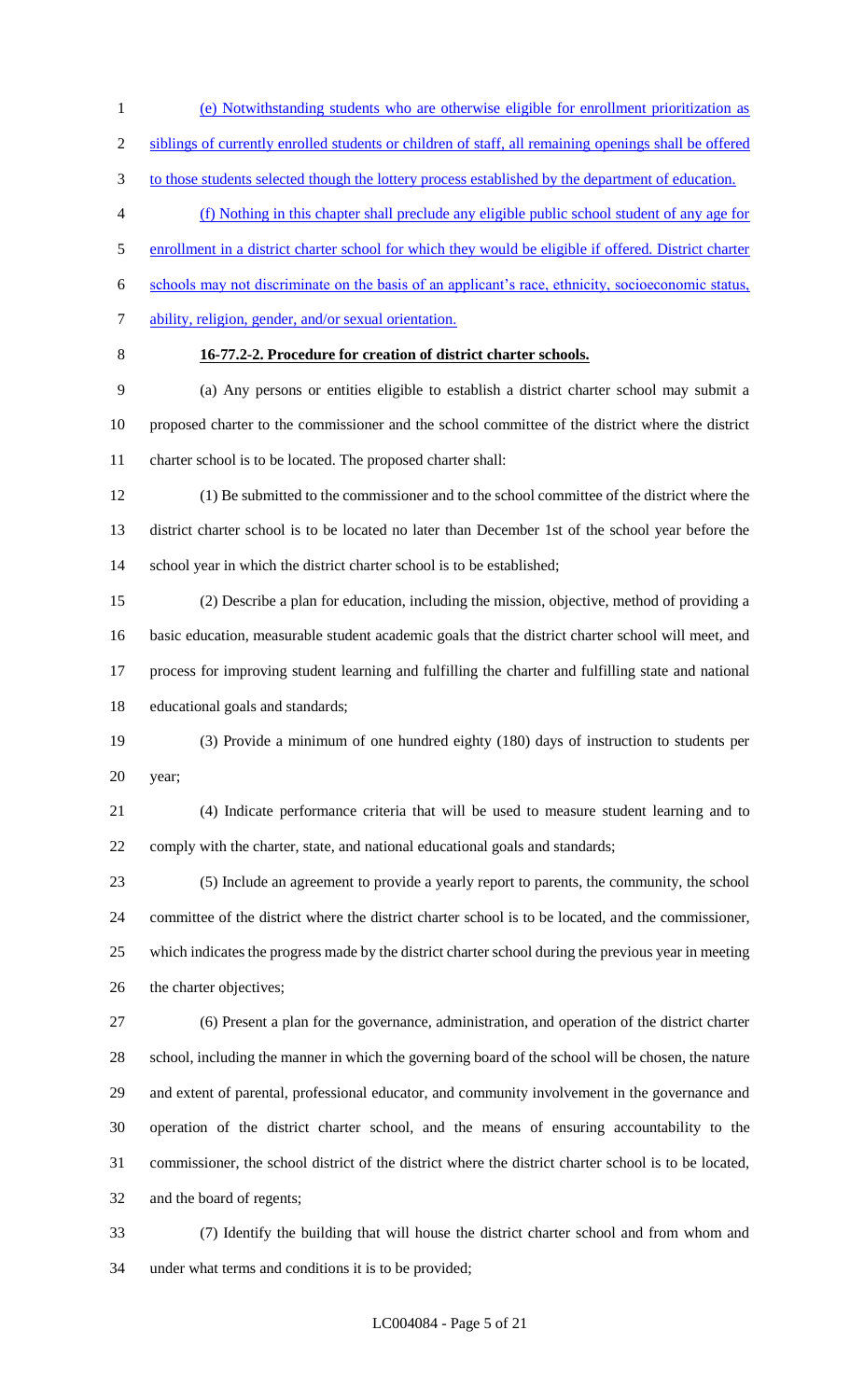(e) Notwithstanding students who are otherwise eligible for enrollment prioritization as siblings of currently enrolled students or children of staff, all remaining openings shall be offered

3 to those students selected though the lottery process established by the department of education.

(f) Nothing in this chapter shall preclude any eligible public school student of any age for

enrollment in a district charter school for which they would be eligible if offered. District charter

schools may not discriminate on the basis of an applicant's race, ethnicity, socioeconomic status,

- 7 ability, religion, gender, and/or sexual orientation.
- 

## **16-77.2-2. Procedure for creation of district charter schools.**

 (a) Any persons or entities eligible to establish a district charter school may submit a proposed charter to the commissioner and the school committee of the district where the district charter school is to be located. The proposed charter shall:

 (1) Be submitted to the commissioner and to the school committee of the district where the district charter school is to be located no later than December 1st of the school year before the 14 school year in which the district charter school is to be established;

 (2) Describe a plan for education, including the mission, objective, method of providing a basic education, measurable student academic goals that the district charter school will meet, and process for improving student learning and fulfilling the charter and fulfilling state and national educational goals and standards;

 (3) Provide a minimum of one hundred eighty (180) days of instruction to students per year;

 (4) Indicate performance criteria that will be used to measure student learning and to comply with the charter, state, and national educational goals and standards;

 (5) Include an agreement to provide a yearly report to parents, the community, the school committee of the district where the district charter school is to be located, and the commissioner, which indicates the progress made by the district charter school during the previous year in meeting the charter objectives;

 (6) Present a plan for the governance, administration, and operation of the district charter school, including the manner in which the governing board of the school will be chosen, the nature and extent of parental, professional educator, and community involvement in the governance and operation of the district charter school, and the means of ensuring accountability to the commissioner, the school district of the district where the district charter school is to be located, and the board of regents;

 (7) Identify the building that will house the district charter school and from whom and under what terms and conditions it is to be provided;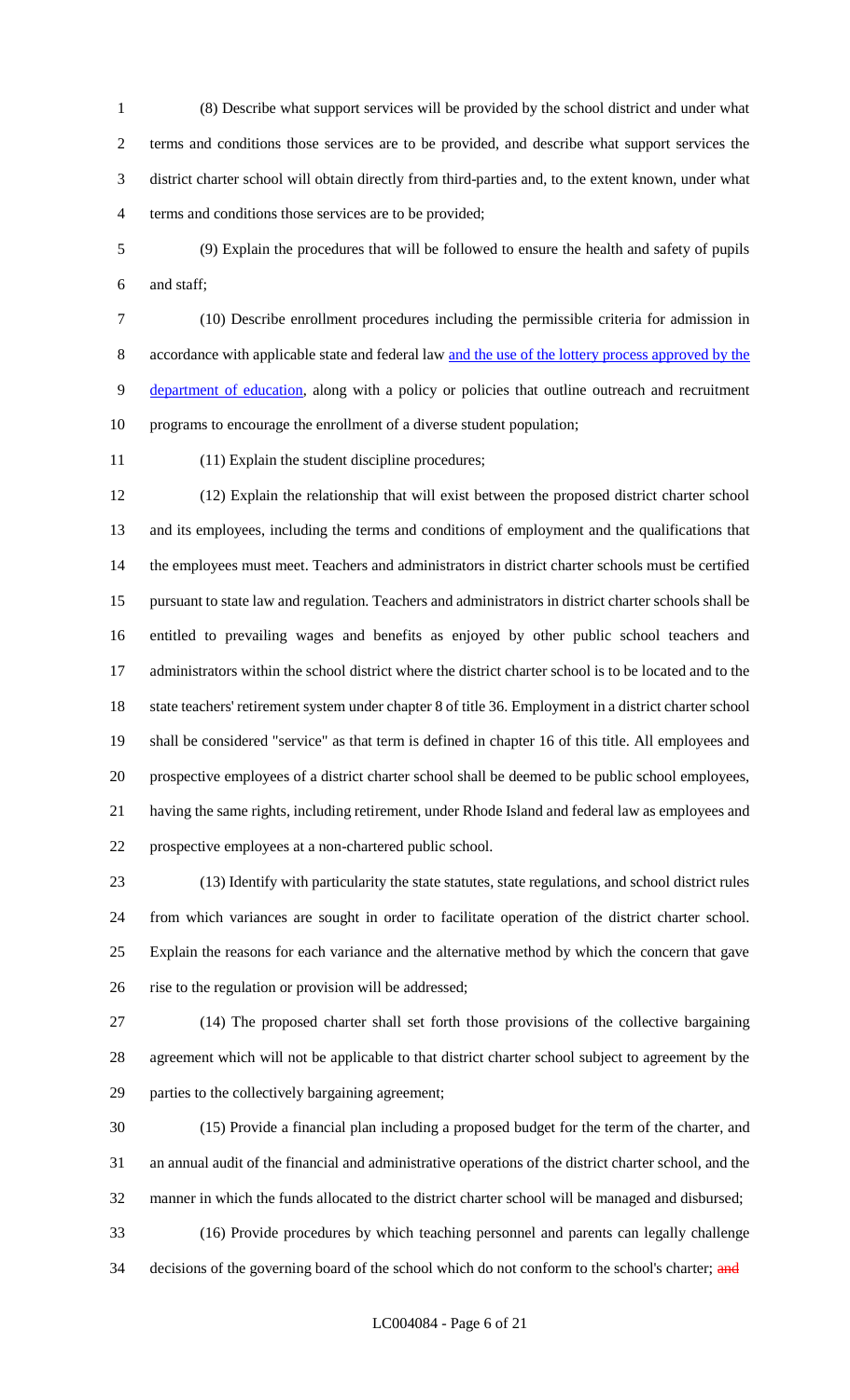(8) Describe what support services will be provided by the school district and under what terms and conditions those services are to be provided, and describe what support services the district charter school will obtain directly from third-parties and, to the extent known, under what terms and conditions those services are to be provided;

 (9) Explain the procedures that will be followed to ensure the health and safety of pupils and staff;

 (10) Describe enrollment procedures including the permissible criteria for admission in accordance with applicable state and federal law and the use of the lottery process approved by the department of education, along with a policy or policies that outline outreach and recruitment programs to encourage the enrollment of a diverse student population;

(11) Explain the student discipline procedures;

 (12) Explain the relationship that will exist between the proposed district charter school and its employees, including the terms and conditions of employment and the qualifications that the employees must meet. Teachers and administrators in district charter schools must be certified pursuant to state law and regulation. Teachers and administrators in district charter schools shall be entitled to prevailing wages and benefits as enjoyed by other public school teachers and administrators within the school district where the district charter school is to be located and to the state teachers' retirement system under chapter 8 of title 36. Employment in a district charter school shall be considered "service" as that term is defined in chapter 16 of this title. All employees and prospective employees of a district charter school shall be deemed to be public school employees, having the same rights, including retirement, under Rhode Island and federal law as employees and prospective employees at a non-chartered public school.

 (13) Identify with particularity the state statutes, state regulations, and school district rules from which variances are sought in order to facilitate operation of the district charter school. Explain the reasons for each variance and the alternative method by which the concern that gave rise to the regulation or provision will be addressed;

 (14) The proposed charter shall set forth those provisions of the collective bargaining agreement which will not be applicable to that district charter school subject to agreement by the parties to the collectively bargaining agreement;

 (15) Provide a financial plan including a proposed budget for the term of the charter, and an annual audit of the financial and administrative operations of the district charter school, and the manner in which the funds allocated to the district charter school will be managed and disbursed; (16) Provide procedures by which teaching personnel and parents can legally challenge

34 decisions of the governing board of the school which do not conform to the school's charter; and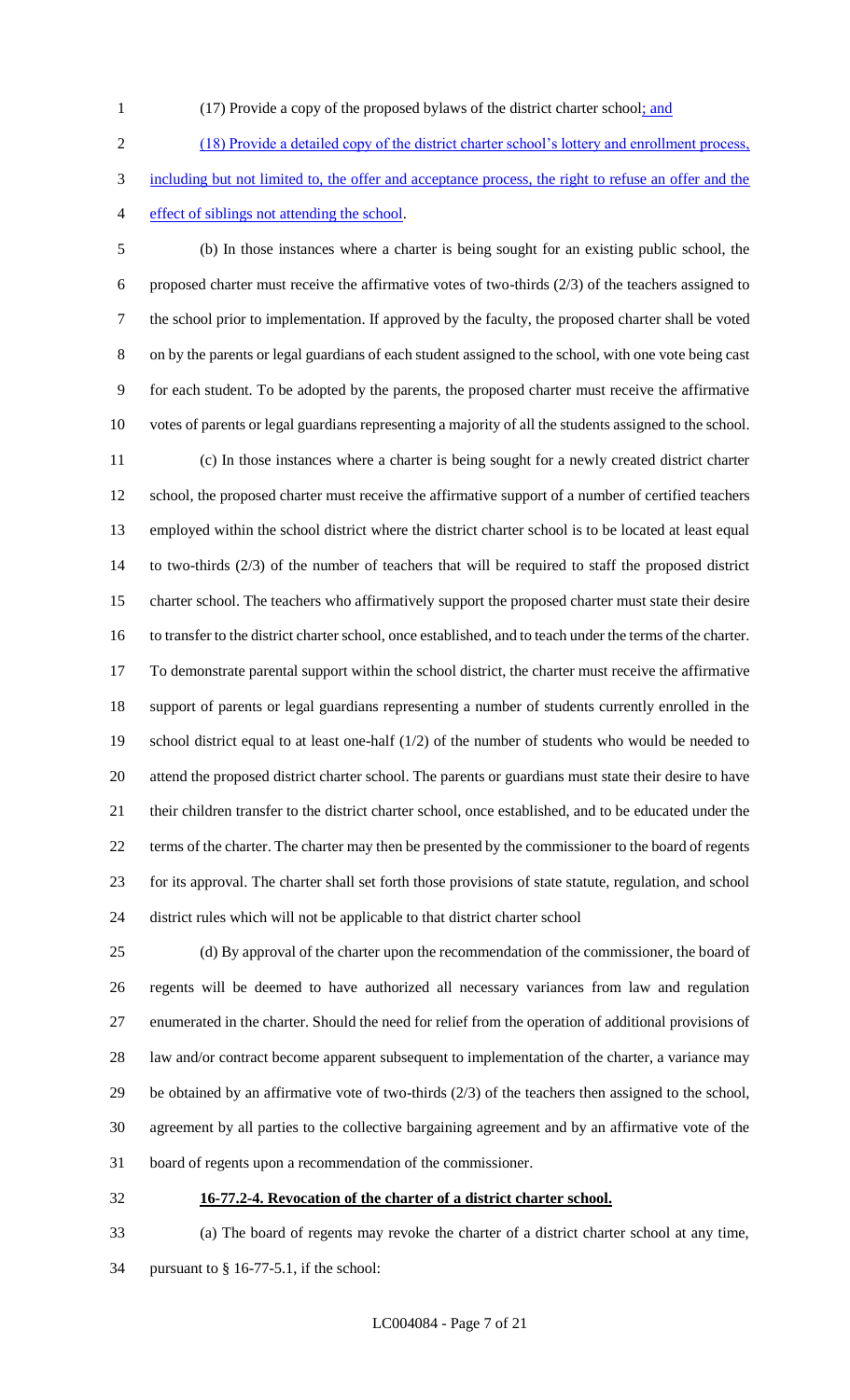- 
- (17) Provide a copy of the proposed bylaws of the district charter school; and

 (18) Provide a detailed copy of the district charter school's lottery and enrollment process, including but not limited to, the offer and acceptance process, the right to refuse an offer and the effect of siblings not attending the school.

 (b) In those instances where a charter is being sought for an existing public school, the proposed charter must receive the affirmative votes of two-thirds (2/3) of the teachers assigned to the school prior to implementation. If approved by the faculty, the proposed charter shall be voted on by the parents or legal guardians of each student assigned to the school, with one vote being cast for each student. To be adopted by the parents, the proposed charter must receive the affirmative votes of parents or legal guardians representing a majority of all the students assigned to the school. (c) In those instances where a charter is being sought for a newly created district charter school, the proposed charter must receive the affirmative support of a number of certified teachers employed within the school district where the district charter school is to be located at least equal to two-thirds (2/3) of the number of teachers that will be required to staff the proposed district charter school. The teachers who affirmatively support the proposed charter must state their desire to transfer to the district charter school, once established, and to teach under the terms of the charter. To demonstrate parental support within the school district, the charter must receive the affirmative support of parents or legal guardians representing a number of students currently enrolled in the school district equal to at least one-half (1/2) of the number of students who would be needed to attend the proposed district charter school. The parents or guardians must state their desire to have their children transfer to the district charter school, once established, and to be educated under the terms of the charter. The charter may then be presented by the commissioner to the board of regents for its approval. The charter shall set forth those provisions of state statute, regulation, and school district rules which will not be applicable to that district charter school

 (d) By approval of the charter upon the recommendation of the commissioner, the board of regents will be deemed to have authorized all necessary variances from law and regulation enumerated in the charter. Should the need for relief from the operation of additional provisions of 28 law and/or contract become apparent subsequent to implementation of the charter, a variance may be obtained by an affirmative vote of two-thirds (2/3) of the teachers then assigned to the school, agreement by all parties to the collective bargaining agreement and by an affirmative vote of the board of regents upon a recommendation of the commissioner.

**16-77.2-4. Revocation of the charter of a district charter school.**

 (a) The board of regents may revoke the charter of a district charter school at any time, pursuant to § 16-77-5.1, if the school: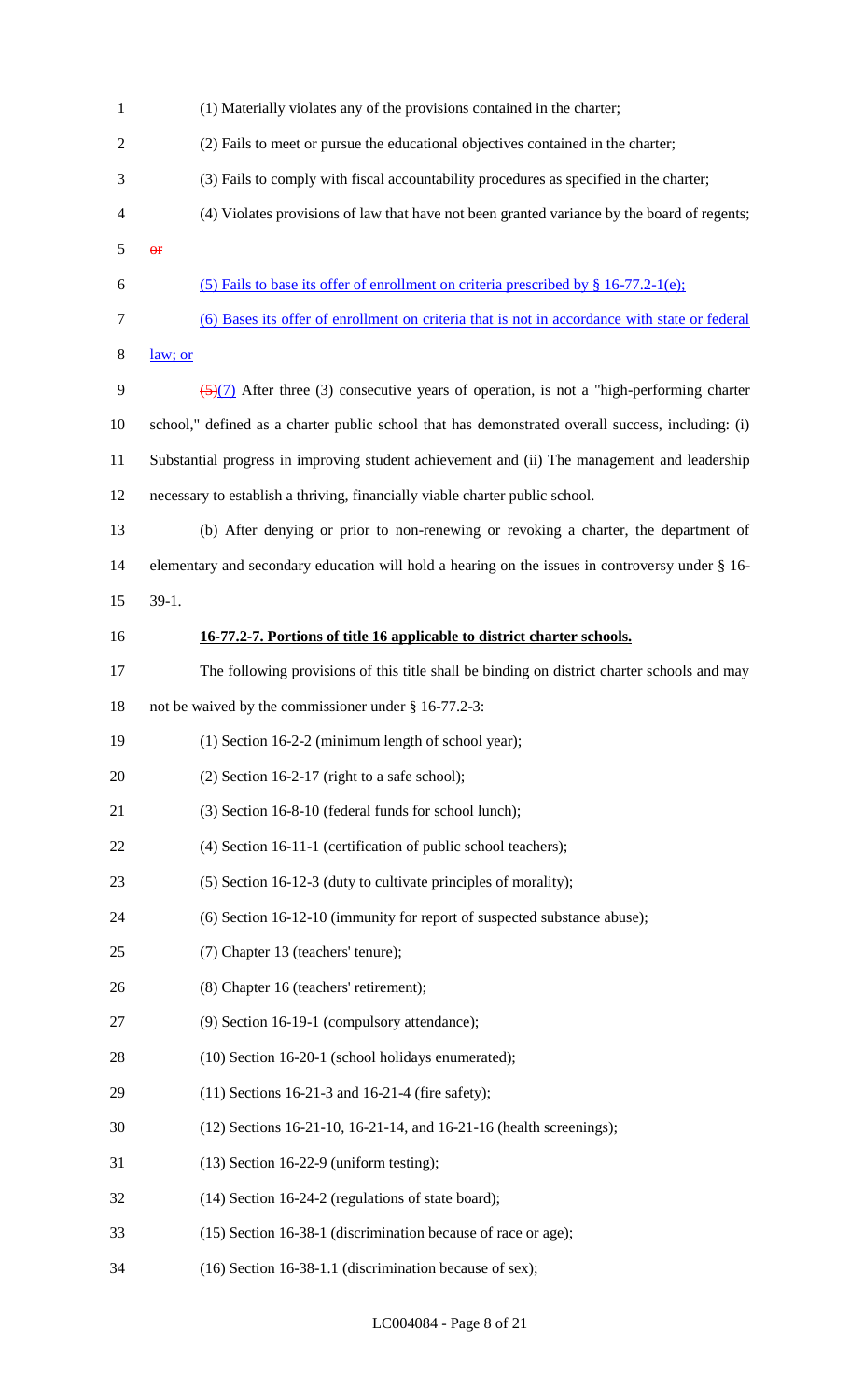| $\mathbf{1}$   | (1) Materially violates any of the provisions contained in the charter;                            |
|----------------|----------------------------------------------------------------------------------------------------|
| $\overline{2}$ | (2) Fails to meet or pursue the educational objectives contained in the charter;                   |
| 3              | (3) Fails to comply with fiscal accountability procedures as specified in the charter;             |
| $\overline{4}$ | (4) Violates provisions of law that have not been granted variance by the board of regents;        |
| 5              | $\Theta$ <b>F</b>                                                                                  |
| 6              | (5) Fails to base its offer of enrollment on criteria prescribed by $\S$ 16-77.2-1(e);             |
| $\tau$         | (6) Bases its offer of enrollment on criteria that is not in accordance with state or federal      |
| $8\,$          | law; or                                                                                            |
| 9              | $\frac{5(7)}{2}$ After three (3) consecutive years of operation, is not a "high-performing charter |
| 10             | school," defined as a charter public school that has demonstrated overall success, including: (i)  |
| 11             | Substantial progress in improving student achievement and (ii) The management and leadership       |
| 12             | necessary to establish a thriving, financially viable charter public school.                       |
| 13             | (b) After denying or prior to non-renewing or revoking a charter, the department of                |
| 14             | elementary and secondary education will hold a hearing on the issues in controversy under § 16-    |
| 15             | $39-1.$                                                                                            |
| 16             | 16-77.2-7. Portions of title 16 applicable to district charter schools.                            |
| 17             | The following provisions of this title shall be binding on district charter schools and may        |
| 18             | not be waived by the commissioner under § 16-77.2-3:                                               |
| 19             | $(1)$ Section 16-2-2 (minimum length of school year);                                              |
| 20             | $(2)$ Section 16-2-17 (right to a safe school);                                                    |
| 21             | (3) Section 16-8-10 (federal funds for school lunch);                                              |
| 22             | (4) Section 16-11-1 (certification of public school teachers);                                     |
| 23             | (5) Section 16-12-3 (duty to cultivate principles of morality);                                    |
| 24             | (6) Section 16-12-10 (immunity for report of suspected substance abuse);                           |
| 25             | (7) Chapter 13 (teachers' tenure);                                                                 |
| 26             | (8) Chapter 16 (teachers' retirement);                                                             |
| 27             | (9) Section 16-19-1 (compulsory attendance);                                                       |
| 28             | (10) Section 16-20-1 (school holidays enumerated);                                                 |
| 29             | $(11)$ Sections 16-21-3 and 16-21-4 (fire safety);                                                 |
| 30             | (12) Sections 16-21-10, 16-21-14, and 16-21-16 (health screenings);                                |
| 31             | $(13)$ Section 16-22-9 (uniform testing);                                                          |
| 32             | (14) Section 16-24-2 (regulations of state board);                                                 |
| 33             | (15) Section 16-38-1 (discrimination because of race or age);                                      |
| 34             | (16) Section 16-38-1.1 (discrimination because of sex);                                            |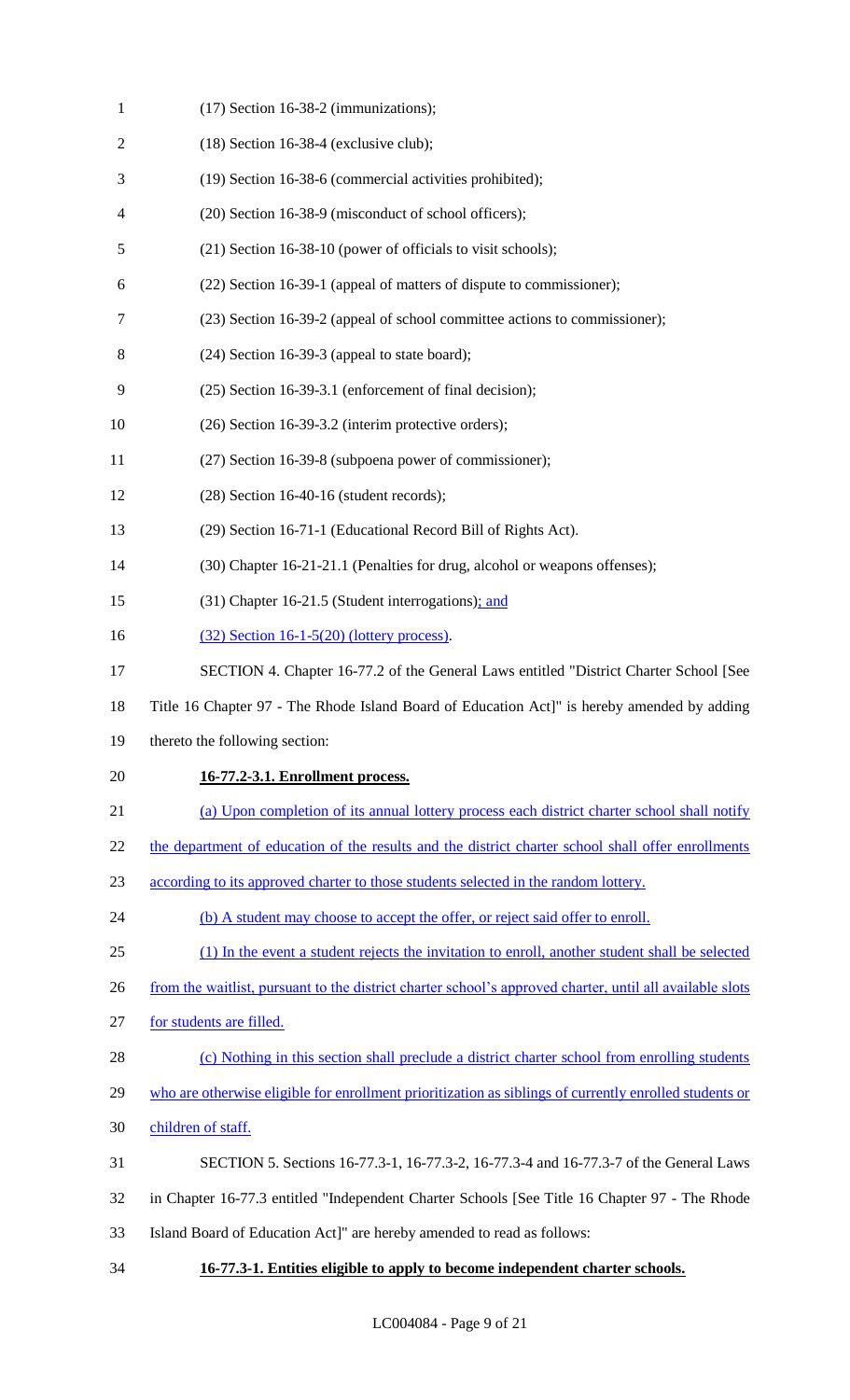| $\mathbf{1}$     | $(17)$ Section 16-38-2 (immunizations);                                                                  |
|------------------|----------------------------------------------------------------------------------------------------------|
| $\overline{2}$   | $(18)$ Section 16-38-4 (exclusive club);                                                                 |
| 3                | (19) Section 16-38-6 (commercial activities prohibited);                                                 |
| 4                | (20) Section 16-38-9 (misconduct of school officers);                                                    |
| 5                | (21) Section 16-38-10 (power of officials to visit schools);                                             |
| 6                | (22) Section 16-39-1 (appeal of matters of dispute to commissioner);                                     |
| 7                | (23) Section 16-39-2 (appeal of school committee actions to commissioner);                               |
| 8                | $(24)$ Section 16-39-3 (appeal to state board);                                                          |
| 9                | (25) Section 16-39-3.1 (enforcement of final decision);                                                  |
| 10               | (26) Section 16-39-3.2 (interim protective orders);                                                      |
| 11               | (27) Section 16-39-8 (subpoena power of commissioner);                                                   |
| 12               | $(28)$ Section 16-40-16 (student records);                                                               |
| 13               | (29) Section 16-71-1 (Educational Record Bill of Rights Act).                                            |
| 14               | (30) Chapter 16-21-21.1 (Penalties for drug, alcohol or weapons offenses);                               |
| 15               | (31) Chapter 16-21.5 (Student interrogations); and                                                       |
| 16               | $(32)$ Section 16-1-5(20) (lottery process).                                                             |
| 17               | SECTION 4. Chapter 16-77.2 of the General Laws entitled "District Charter School [See                    |
| 18               | Title 16 Chapter 97 - The Rhode Island Board of Education Act]" is hereby amended by adding              |
| 19               | thereto the following section:                                                                           |
| 20               | 16-77.2-3.1. Enrollment process.                                                                         |
| 21               | (a) Upon completion of its annual lottery process each district charter school shall notify              |
| 22               | the department of education of the results and the district charter school shall offer enrollments       |
| 23               | according to its approved charter to those students selected in the random lottery.                      |
| 24               | (b) A student may choose to accept the offer, or reject said offer to enroll.                            |
| 25               | (1) In the event a student rejects the invitation to enroll, another student shall be selected           |
| 26               | from the waitlist, pursuant to the district charter school's approved charter, until all available slots |
| 27               | for students are filled.                                                                                 |
| 28               | (c) Nothing in this section shall preclude a district charter school from enrolling students             |
| 29               | who are otherwise eligible for enrollment prioritization as siblings of currently enrolled students or   |
| 30               | children of staff.                                                                                       |
| 31               | SECTION 5. Sections 16-77.3-1, 16-77.3-2, 16-77.3-4 and 16-77.3-7 of the General Laws                    |
| 32               | in Chapter 16-77.3 entitled "Independent Charter Schools [See Title 16 Chapter 97 - The Rhode            |
| 33               | Island Board of Education Act]" are hereby amended to read as follows:                                   |
| $\sim$ $\lambda$ |                                                                                                          |

**16-77.3-1. Entities eligible to apply to become independent charter schools.**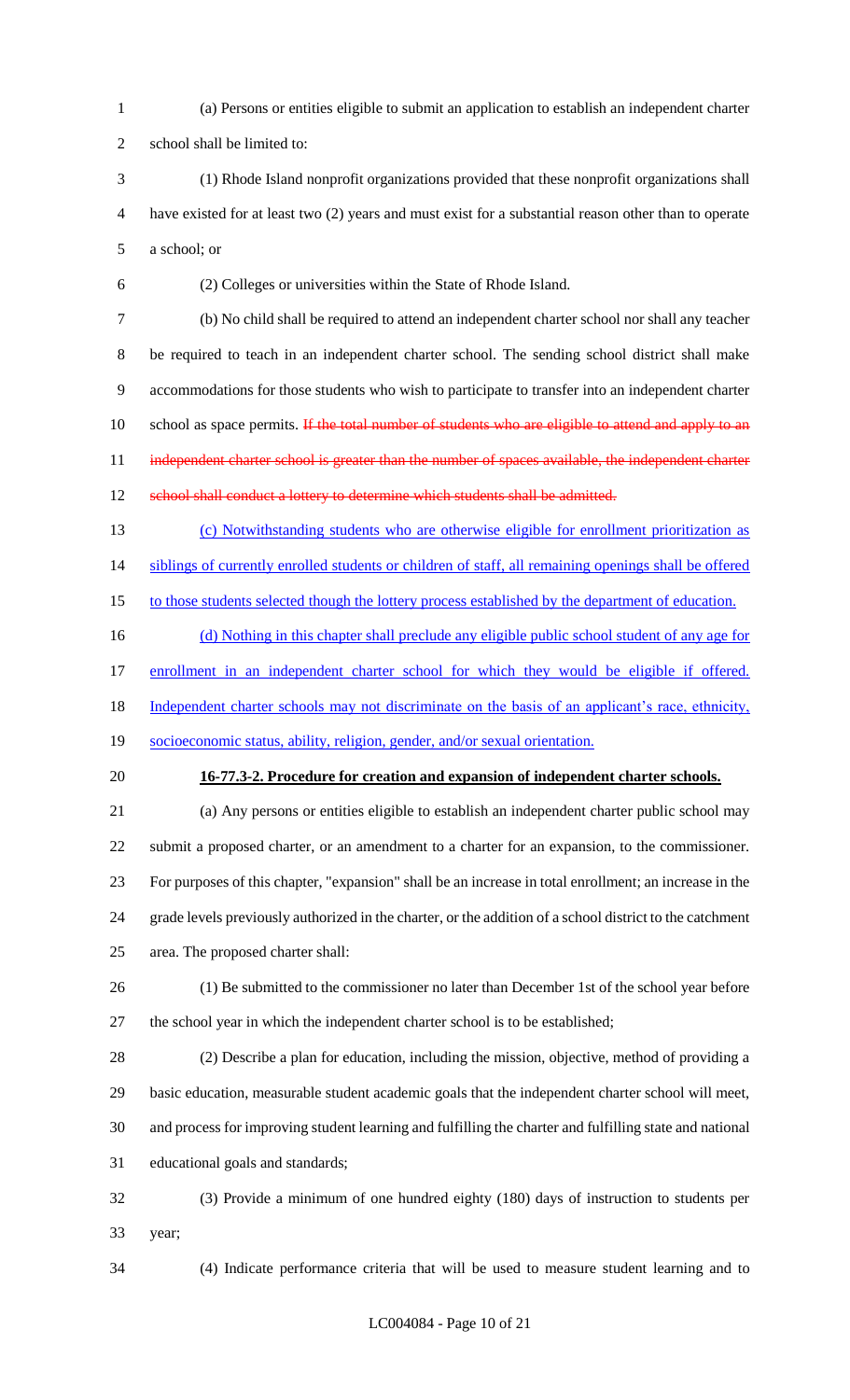(a) Persons or entities eligible to submit an application to establish an independent charter

school shall be limited to:

 (1) Rhode Island nonprofit organizations provided that these nonprofit organizations shall have existed for at least two (2) years and must exist for a substantial reason other than to operate a school; or

(2) Colleges or universities within the State of Rhode Island.

 (b) No child shall be required to attend an independent charter school nor shall any teacher be required to teach in an independent charter school. The sending school district shall make accommodations for those students who wish to participate to transfer into an independent charter 10 school as space permits. If the total number of students who are eligible to attend and apply to an 11 independent charter school is greater than the number of spaces available, the independent charter 12 school shall conduct a lottery to determine which students shall be admitted.

 (c) Notwithstanding students who are otherwise eligible for enrollment prioritization as 14 siblings of currently enrolled students or children of staff, all remaining openings shall be offered

15 to those students selected though the lottery process established by the department of education.

16 (d) Nothing in this chapter shall preclude any eligible public school student of any age for

17 enrollment in an independent charter school for which they would be eligible if offered.

18 Independent charter schools may not discriminate on the basis of an applicant's race, ethnicity,

- socioeconomic status, ability, religion, gender, and/or sexual orientation.
- 

## **16-77.3-2. Procedure for creation and expansion of independent charter schools.**

 (a) Any persons or entities eligible to establish an independent charter public school may submit a proposed charter, or an amendment to a charter for an expansion, to the commissioner. For purposes of this chapter, "expansion" shall be an increase in total enrollment; an increase in the grade levels previously authorized in the charter, or the addition of a school district to the catchment area. The proposed charter shall:

- (1) Be submitted to the commissioner no later than December 1st of the school year before
- the school year in which the independent charter school is to be established;

 (2) Describe a plan for education, including the mission, objective, method of providing a basic education, measurable student academic goals that the independent charter school will meet, and process for improving student learning and fulfilling the charter and fulfilling state and national educational goals and standards;

 (3) Provide a minimum of one hundred eighty (180) days of instruction to students per year;

(4) Indicate performance criteria that will be used to measure student learning and to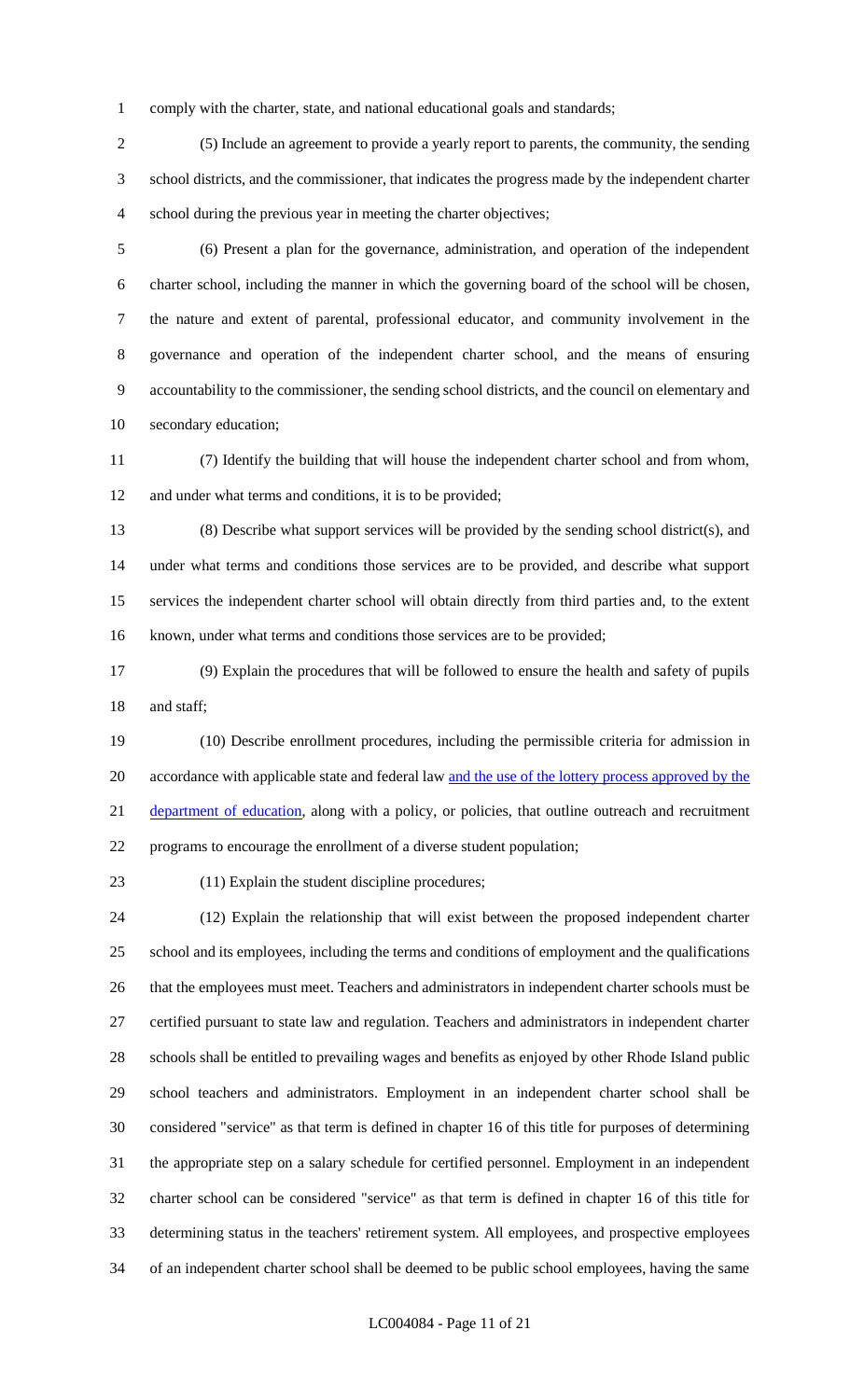comply with the charter, state, and national educational goals and standards;

 (5) Include an agreement to provide a yearly report to parents, the community, the sending school districts, and the commissioner, that indicates the progress made by the independent charter school during the previous year in meeting the charter objectives;

 (6) Present a plan for the governance, administration, and operation of the independent charter school, including the manner in which the governing board of the school will be chosen, the nature and extent of parental, professional educator, and community involvement in the governance and operation of the independent charter school, and the means of ensuring accountability to the commissioner, the sending school districts, and the council on elementary and secondary education;

 (7) Identify the building that will house the independent charter school and from whom, 12 and under what terms and conditions, it is to be provided;

 (8) Describe what support services will be provided by the sending school district(s), and under what terms and conditions those services are to be provided, and describe what support services the independent charter school will obtain directly from third parties and, to the extent known, under what terms and conditions those services are to be provided;

 (9) Explain the procedures that will be followed to ensure the health and safety of pupils 18 and staff;

 (10) Describe enrollment procedures, including the permissible criteria for admission in 20 accordance with applicable state and federal law and the use of the lottery process approved by the 21 department of education, along with a policy, or policies, that outline outreach and recruitment programs to encourage the enrollment of a diverse student population;

(11) Explain the student discipline procedures;

 (12) Explain the relationship that will exist between the proposed independent charter school and its employees, including the terms and conditions of employment and the qualifications that the employees must meet. Teachers and administrators in independent charter schools must be certified pursuant to state law and regulation. Teachers and administrators in independent charter schools shall be entitled to prevailing wages and benefits as enjoyed by other Rhode Island public school teachers and administrators. Employment in an independent charter school shall be considered "service" as that term is defined in chapter 16 of this title for purposes of determining the appropriate step on a salary schedule for certified personnel. Employment in an independent charter school can be considered "service" as that term is defined in chapter 16 of this title for determining status in the teachers' retirement system. All employees, and prospective employees of an independent charter school shall be deemed to be public school employees, having the same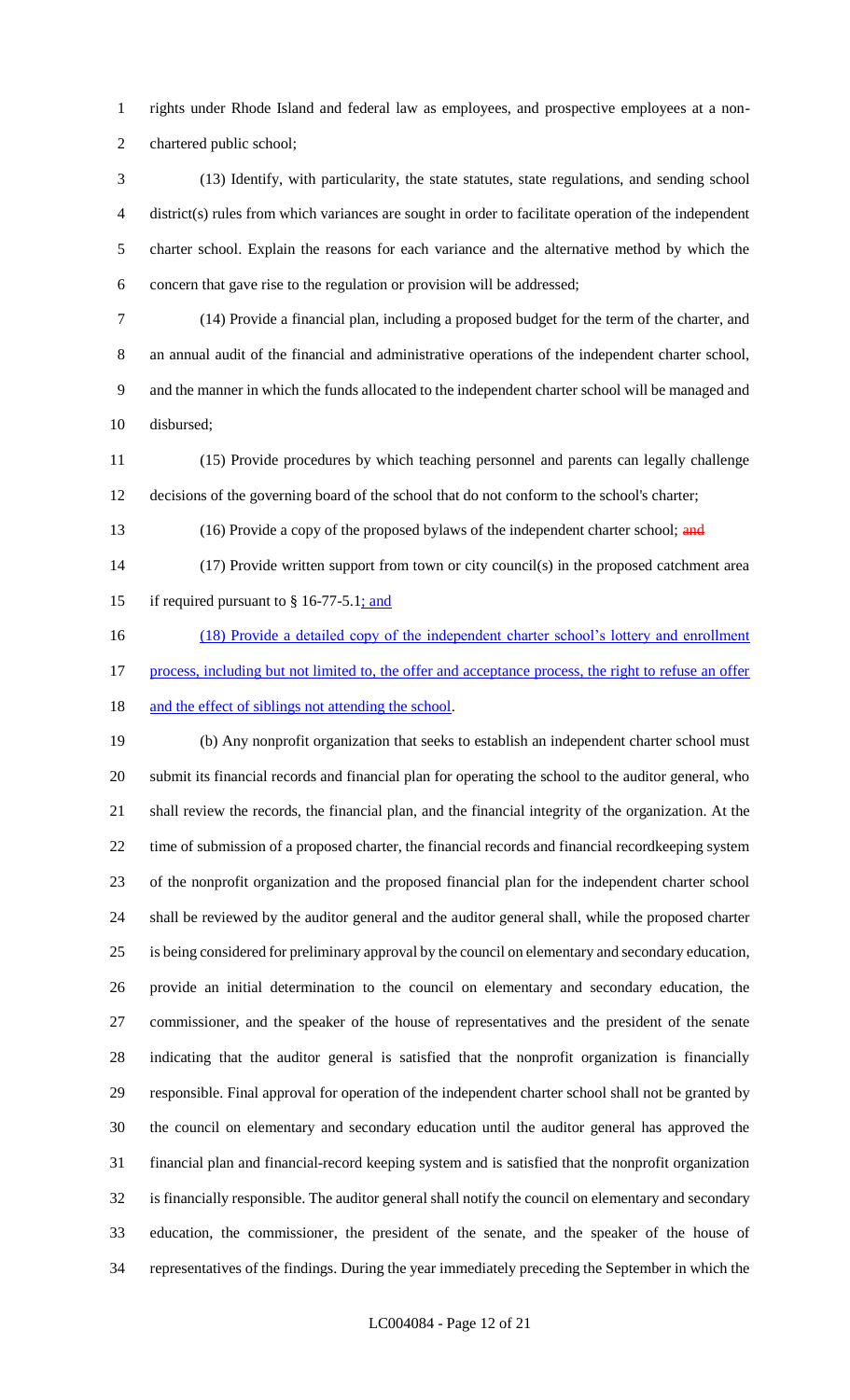rights under Rhode Island and federal law as employees, and prospective employees at a non-chartered public school;

 (13) Identify, with particularity, the state statutes, state regulations, and sending school district(s) rules from which variances are sought in order to facilitate operation of the independent charter school. Explain the reasons for each variance and the alternative method by which the concern that gave rise to the regulation or provision will be addressed;

 (14) Provide a financial plan, including a proposed budget for the term of the charter, and an annual audit of the financial and administrative operations of the independent charter school, and the manner in which the funds allocated to the independent charter school will be managed and disbursed;

 (15) Provide procedures by which teaching personnel and parents can legally challenge decisions of the governing board of the school that do not conform to the school's charter;

13 (16) Provide a copy of the proposed bylaws of the independent charter school; and

 (17) Provide written support from town or city council(s) in the proposed catchment area 15 if required pursuant to  $§$  16-77-5.1; and

16 (18) Provide a detailed copy of the independent charter school's lottery and enrollment 17 process, including but not limited to, the offer and acceptance process, the right to refuse an offer 18 and the effect of siblings not attending the school.

 (b) Any nonprofit organization that seeks to establish an independent charter school must submit its financial records and financial plan for operating the school to the auditor general, who shall review the records, the financial plan, and the financial integrity of the organization. At the time of submission of a proposed charter, the financial records and financial recordkeeping system of the nonprofit organization and the proposed financial plan for the independent charter school shall be reviewed by the auditor general and the auditor general shall, while the proposed charter is being considered for preliminary approval by the council on elementary and secondary education, provide an initial determination to the council on elementary and secondary education, the commissioner, and the speaker of the house of representatives and the president of the senate indicating that the auditor general is satisfied that the nonprofit organization is financially responsible. Final approval for operation of the independent charter school shall not be granted by the council on elementary and secondary education until the auditor general has approved the financial plan and financial-record keeping system and is satisfied that the nonprofit organization is financially responsible. The auditor general shall notify the council on elementary and secondary education, the commissioner, the president of the senate, and the speaker of the house of representatives of the findings. During the year immediately preceding the September in which the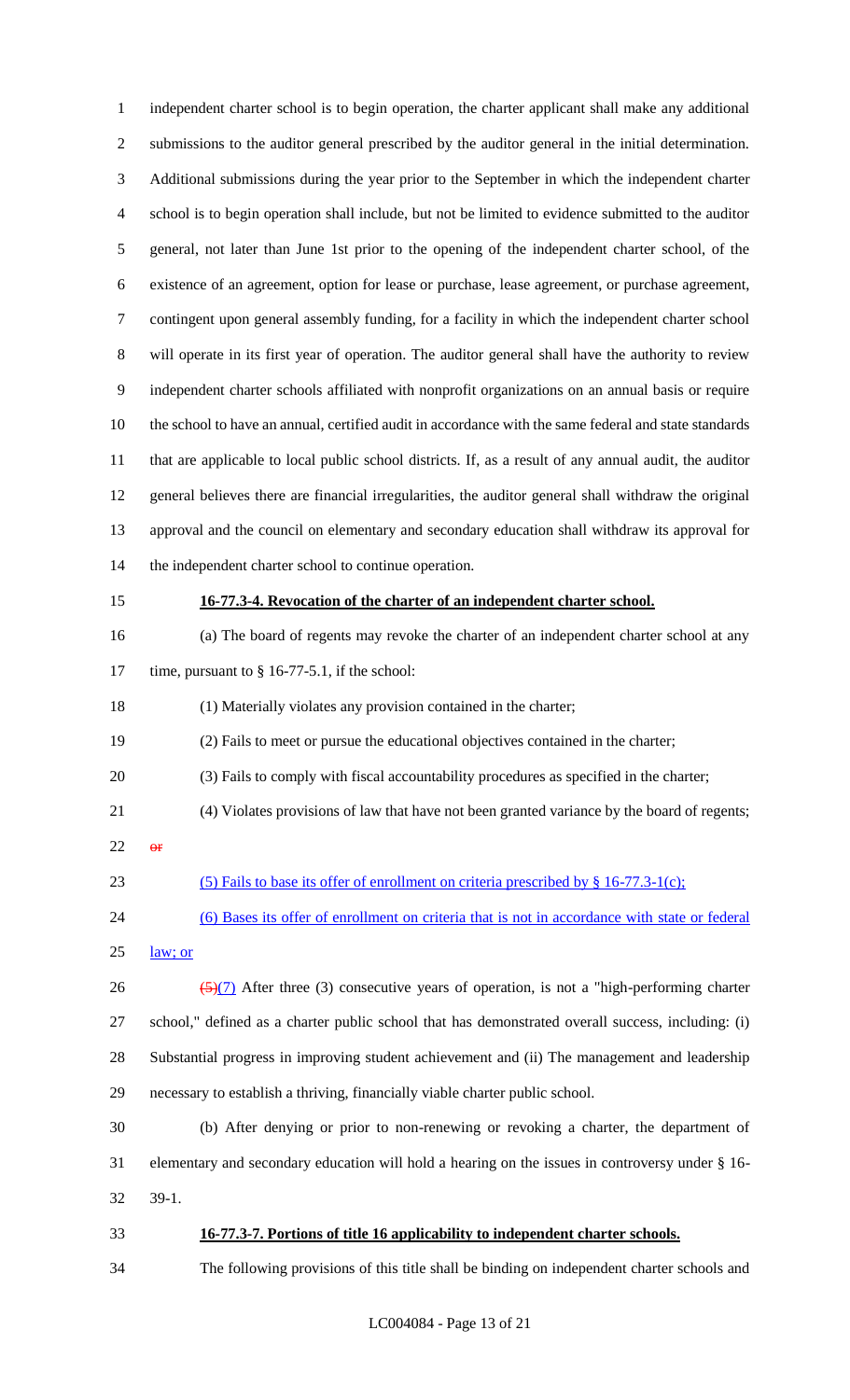independent charter school is to begin operation, the charter applicant shall make any additional submissions to the auditor general prescribed by the auditor general in the initial determination. Additional submissions during the year prior to the September in which the independent charter school is to begin operation shall include, but not be limited to evidence submitted to the auditor general, not later than June 1st prior to the opening of the independent charter school, of the existence of an agreement, option for lease or purchase, lease agreement, or purchase agreement, contingent upon general assembly funding, for a facility in which the independent charter school will operate in its first year of operation. The auditor general shall have the authority to review independent charter schools affiliated with nonprofit organizations on an annual basis or require the school to have an annual, certified audit in accordance with the same federal and state standards that are applicable to local public school districts. If, as a result of any annual audit, the auditor general believes there are financial irregularities, the auditor general shall withdraw the original approval and the council on elementary and secondary education shall withdraw its approval for the independent charter school to continue operation. **16-77.3-4. Revocation of the charter of an independent charter school.** (a) The board of regents may revoke the charter of an independent charter school at any 17 time, pursuant to § 16-77-5.1, if the school: (1) Materially violates any provision contained in the charter; (2) Fails to meet or pursue the educational objectives contained in the charter; (3) Fails to comply with fiscal accountability procedures as specified in the charter; (4) Violates provisions of law that have not been granted variance by the board of regents; or 23 (5) Fails to base its offer of enrollment on criteria prescribed by § 16-77.3-1(c); (6) Bases its offer of enrollment on criteria that is not in accordance with state or federal law; or  $\frac{5(7)}{2}$  After three (3) consecutive years of operation, is not a "high-performing charter school," defined as a charter public school that has demonstrated overall success, including: (i) Substantial progress in improving student achievement and (ii) The management and leadership necessary to establish a thriving, financially viable charter public school. (b) After denying or prior to non-renewing or revoking a charter, the department of elementary and secondary education will hold a hearing on the issues in controversy under § 16- 39-1. **16-77.3-7. Portions of title 16 applicability to independent charter schools.** The following provisions of this title shall be binding on independent charter schools and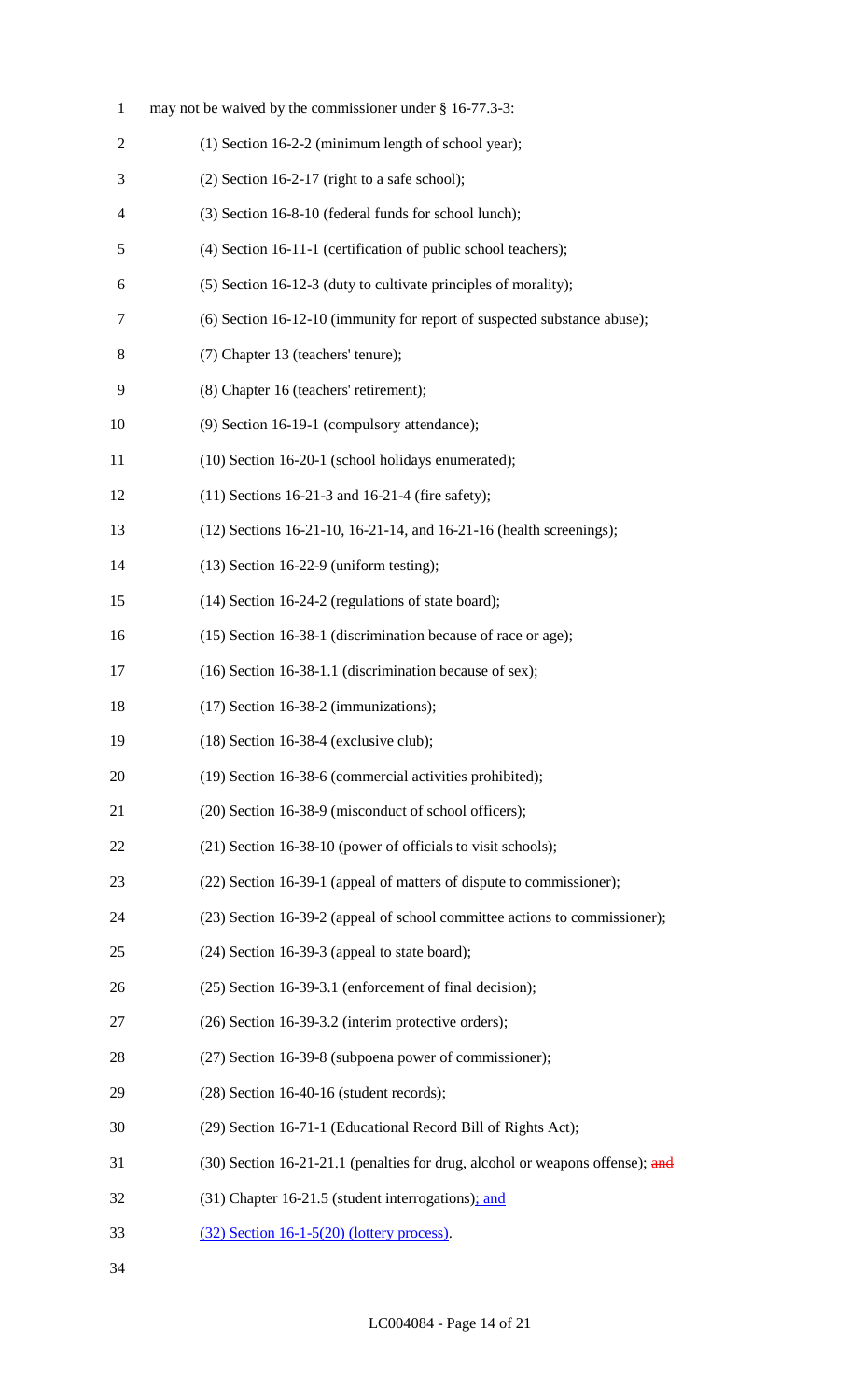| $\mathbf{1}$             | may not be waived by the commissioner under $\S$ 16-77.3-3:                   |
|--------------------------|-------------------------------------------------------------------------------|
| $\overline{2}$           | (1) Section 16-2-2 (minimum length of school year);                           |
| 3                        | $(2)$ Section 16-2-17 (right to a safe school);                               |
| $\overline{\mathcal{A}}$ | (3) Section 16-8-10 (federal funds for school lunch);                         |
| 5                        | (4) Section 16-11-1 (certification of public school teachers);                |
| 6                        | (5) Section 16-12-3 (duty to cultivate principles of morality);               |
| 7                        | (6) Section 16-12-10 (immunity for report of suspected substance abuse);      |
| 8                        | (7) Chapter 13 (teachers' tenure);                                            |
| 9                        | (8) Chapter 16 (teachers' retirement);                                        |
| 10                       | (9) Section 16-19-1 (compulsory attendance);                                  |
| 11                       | (10) Section 16-20-1 (school holidays enumerated);                            |
| 12                       | $(11)$ Sections 16-21-3 and 16-21-4 (fire safety);                            |
| 13                       | (12) Sections 16-21-10, 16-21-14, and 16-21-16 (health screenings);           |
| 14                       | $(13)$ Section 16-22-9 (uniform testing);                                     |
| 15                       | (14) Section 16-24-2 (regulations of state board);                            |
| 16                       | (15) Section 16-38-1 (discrimination because of race or age);                 |
| 17                       | (16) Section 16-38-1.1 (discrimination because of sex);                       |
| 18                       | $(17)$ Section 16-38-2 (immunizations);                                       |
| 19                       | $(18)$ Section 16-38-4 (exclusive club);                                      |
| 20                       | (19) Section 16-38-6 (commercial activities prohibited);                      |
| 21                       | (20) Section 16-38-9 (misconduct of school officers);                         |
| 22                       | (21) Section 16-38-10 (power of officials to visit schools);                  |
| 23                       | (22) Section 16-39-1 (appeal of matters of dispute to commissioner);          |
| 24                       | (23) Section 16-39-2 (appeal of school committee actions to commissioner);    |
| 25                       | $(24)$ Section 16-39-3 (appeal to state board);                               |
| 26                       | (25) Section 16-39-3.1 (enforcement of final decision);                       |
| 27                       | (26) Section 16-39-3.2 (interim protective orders);                           |
| 28                       | (27) Section 16-39-8 (subpoena power of commissioner);                        |
| 29                       | $(28)$ Section 16-40-16 (student records);                                    |
| 30                       | (29) Section 16-71-1 (Educational Record Bill of Rights Act);                 |
| 31                       | (30) Section 16-21-21.1 (penalties for drug, alcohol or weapons offense); and |
| 32                       | (31) Chapter 16-21.5 (student interrogations); and                            |
| 33                       | $(32)$ Section 16-1-5(20) (lottery process).                                  |
| 34                       |                                                                               |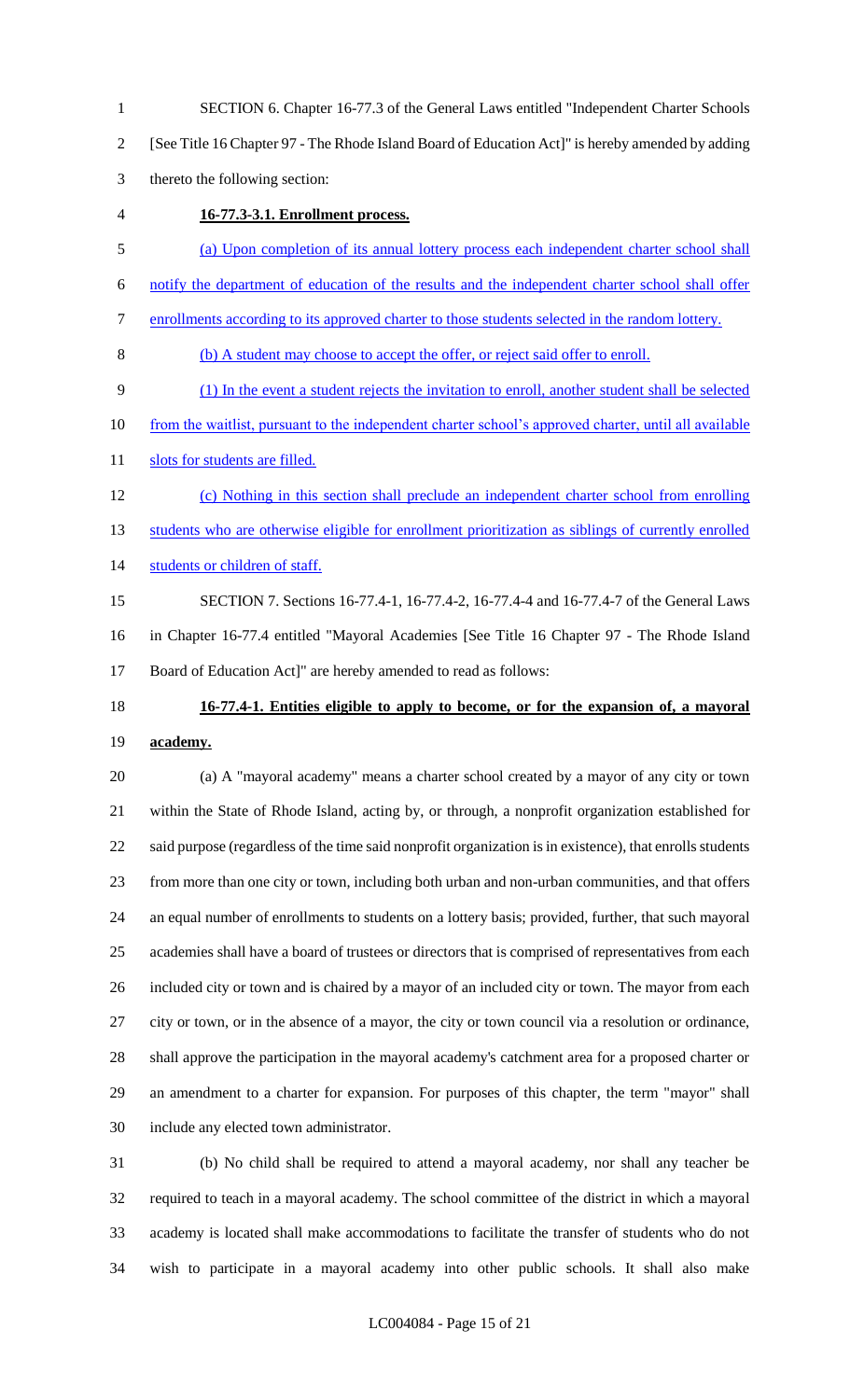SECTION 6. Chapter 16-77.3 of the General Laws entitled "Independent Charter Schools

[See Title 16 Chapter 97 - The Rhode Island Board of Education Act]" is hereby amended by adding

thereto the following section:

**16-77.3-3.1. Enrollment process.** 

(a) Upon completion of its annual lottery process each independent charter school shall

notify the department of education of the results and the independent charter school shall offer

enrollments according to its approved charter to those students selected in the random lottery.

(b) A student may choose to accept the offer, or reject said offer to enroll.

(1) In the event a student rejects the invitation to enroll, another student shall be selected

from the waitlist, pursuant to the independent charter school's approved charter, until all available

11 slots for students are filled.

- (c) Nothing in this section shall preclude an independent charter school from enrolling 13 students who are otherwise eligible for enrollment prioritization as siblings of currently enrolled students or children of staff.
- SECTION 7. Sections 16-77.4-1, 16-77.4-2, 16-77.4-4 and 16-77.4-7 of the General Laws in Chapter 16-77.4 entitled "Mayoral Academies [See Title 16 Chapter 97 - The Rhode Island Board of Education Act]" are hereby amended to read as follows:
- 

# **16-77.4-1. Entities eligible to apply to become, or for the expansion of, a mayoral academy.**

 (a) A "mayoral academy" means a charter school created by a mayor of any city or town within the State of Rhode Island, acting by, or through, a nonprofit organization established for said purpose (regardless of the time said nonprofit organization is in existence), that enrolls students from more than one city or town, including both urban and non-urban communities, and that offers an equal number of enrollments to students on a lottery basis; provided, further, that such mayoral academies shall have a board of trustees or directors that is comprised of representatives from each included city or town and is chaired by a mayor of an included city or town. The mayor from each city or town, or in the absence of a mayor, the city or town council via a resolution or ordinance, shall approve the participation in the mayoral academy's catchment area for a proposed charter or an amendment to a charter for expansion. For purposes of this chapter, the term "mayor" shall include any elected town administrator.

 (b) No child shall be required to attend a mayoral academy, nor shall any teacher be required to teach in a mayoral academy. The school committee of the district in which a mayoral academy is located shall make accommodations to facilitate the transfer of students who do not wish to participate in a mayoral academy into other public schools. It shall also make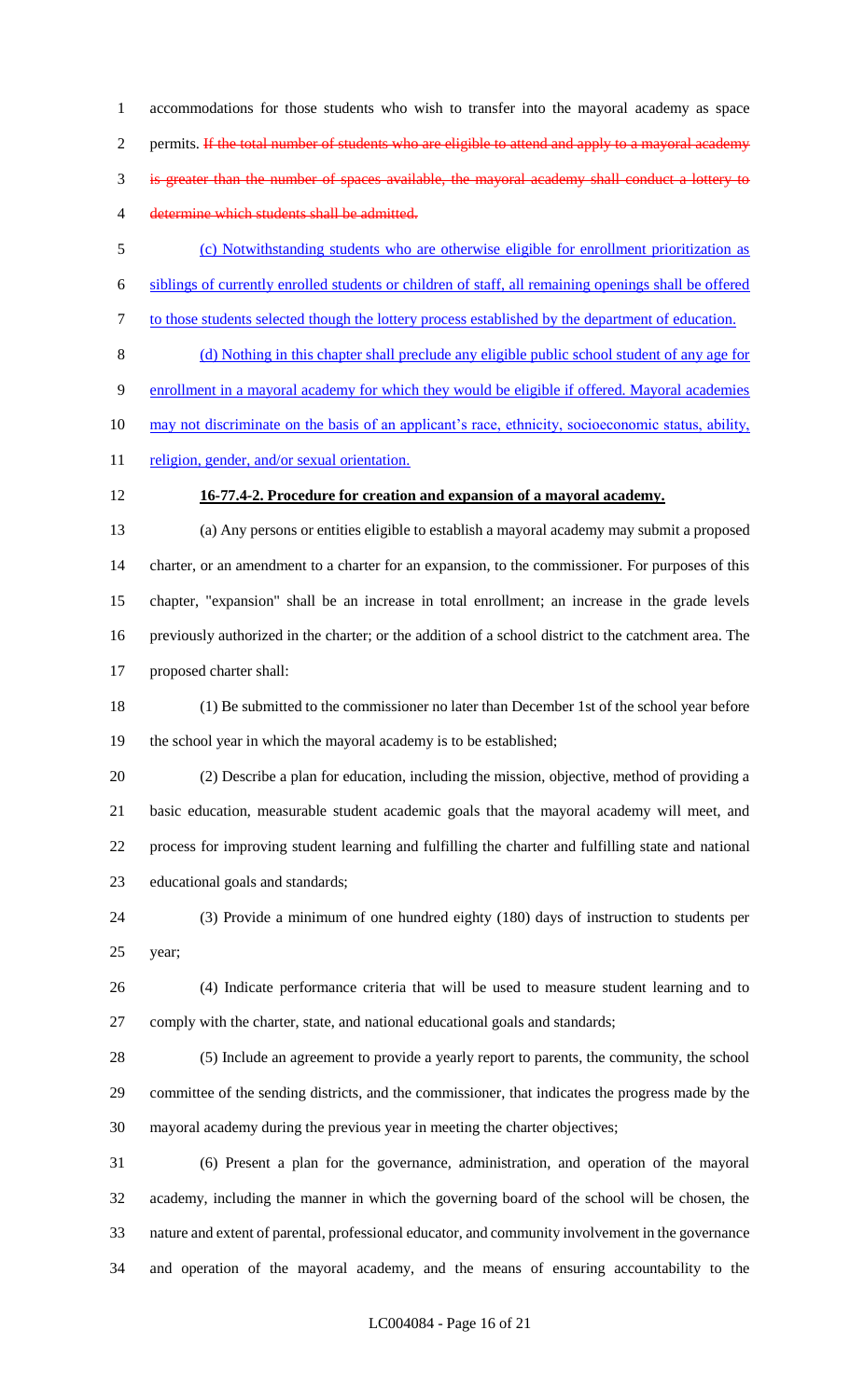accommodations for those students who wish to transfer into the mayoral academy as space 2 permits. If the total number of students who are eligible to attend and apply to a mayoral academy is greater than the number of spaces available, the mayoral academy shall conduct a lottery to 4 determine which students shall be admitted.

 (c) Notwithstanding students who are otherwise eligible for enrollment prioritization as siblings of currently enrolled students or children of staff, all remaining openings shall be offered to those students selected though the lottery process established by the department of education.

 (d) Nothing in this chapter shall preclude any eligible public school student of any age for enrollment in a mayoral academy for which they would be eligible if offered. Mayoral academies may not discriminate on the basis of an applicant's race, ethnicity, socioeconomic status, ability, 11 religion, gender, and/or sexual orientation.

## **16-77.4-2. Procedure for creation and expansion of a mayoral academy.**

 (a) Any persons or entities eligible to establish a mayoral academy may submit a proposed charter, or an amendment to a charter for an expansion, to the commissioner. For purposes of this chapter, "expansion" shall be an increase in total enrollment; an increase in the grade levels previously authorized in the charter; or the addition of a school district to the catchment area. The proposed charter shall:

 (1) Be submitted to the commissioner no later than December 1st of the school year before the school year in which the mayoral academy is to be established;

 (2) Describe a plan for education, including the mission, objective, method of providing a basic education, measurable student academic goals that the mayoral academy will meet, and process for improving student learning and fulfilling the charter and fulfilling state and national educational goals and standards;

 (3) Provide a minimum of one hundred eighty (180) days of instruction to students per year;

 (4) Indicate performance criteria that will be used to measure student learning and to comply with the charter, state, and national educational goals and standards;

 (5) Include an agreement to provide a yearly report to parents, the community, the school committee of the sending districts, and the commissioner, that indicates the progress made by the mayoral academy during the previous year in meeting the charter objectives;

 (6) Present a plan for the governance, administration, and operation of the mayoral academy, including the manner in which the governing board of the school will be chosen, the nature and extent of parental, professional educator, and community involvement in the governance and operation of the mayoral academy, and the means of ensuring accountability to the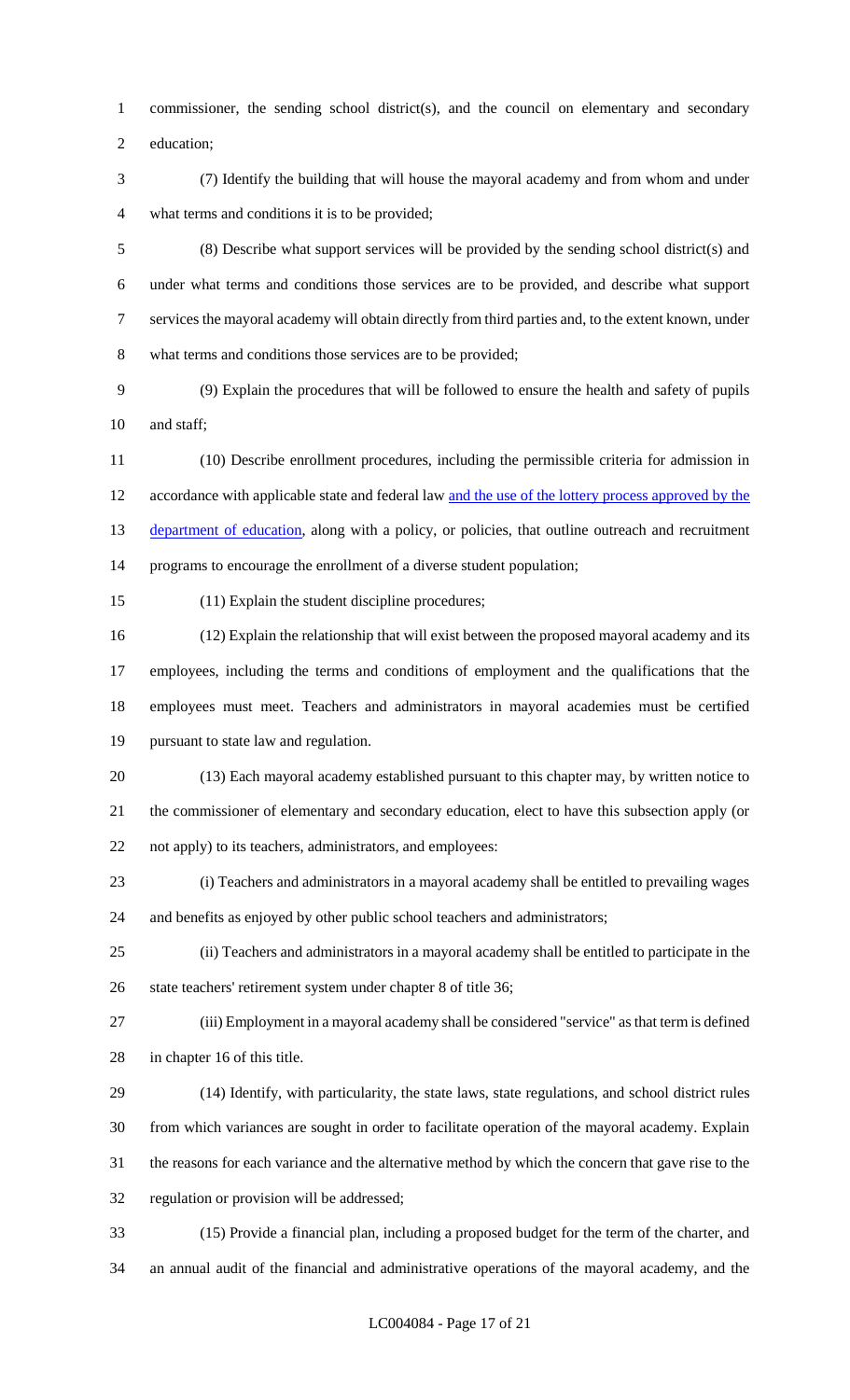commissioner, the sending school district(s), and the council on elementary and secondary

education;

 (7) Identify the building that will house the mayoral academy and from whom and under what terms and conditions it is to be provided;

 (8) Describe what support services will be provided by the sending school district(s) and under what terms and conditions those services are to be provided, and describe what support services the mayoral academy will obtain directly from third parties and, to the extent known, under what terms and conditions those services are to be provided;

 (9) Explain the procedures that will be followed to ensure the health and safety of pupils 10 and staff;

 (10) Describe enrollment procedures, including the permissible criteria for admission in accordance with applicable state and federal law and the use of the lottery process approved by the 13 department of education, along with a policy, or policies, that outline outreach and recruitment programs to encourage the enrollment of a diverse student population;

(11) Explain the student discipline procedures;

 (12) Explain the relationship that will exist between the proposed mayoral academy and its employees, including the terms and conditions of employment and the qualifications that the employees must meet. Teachers and administrators in mayoral academies must be certified pursuant to state law and regulation.

 (13) Each mayoral academy established pursuant to this chapter may, by written notice to the commissioner of elementary and secondary education, elect to have this subsection apply (or not apply) to its teachers, administrators, and employees:

 (i) Teachers and administrators in a mayoral academy shall be entitled to prevailing wages and benefits as enjoyed by other public school teachers and administrators;

 (ii) Teachers and administrators in a mayoral academy shall be entitled to participate in the state teachers' retirement system under chapter 8 of title 36;

 (iii) Employment in a mayoral academy shall be considered "service" as that term is defined in chapter 16 of this title.

 (14) Identify, with particularity, the state laws, state regulations, and school district rules from which variances are sought in order to facilitate operation of the mayoral academy. Explain the reasons for each variance and the alternative method by which the concern that gave rise to the regulation or provision will be addressed;

 (15) Provide a financial plan, including a proposed budget for the term of the charter, and an annual audit of the financial and administrative operations of the mayoral academy, and the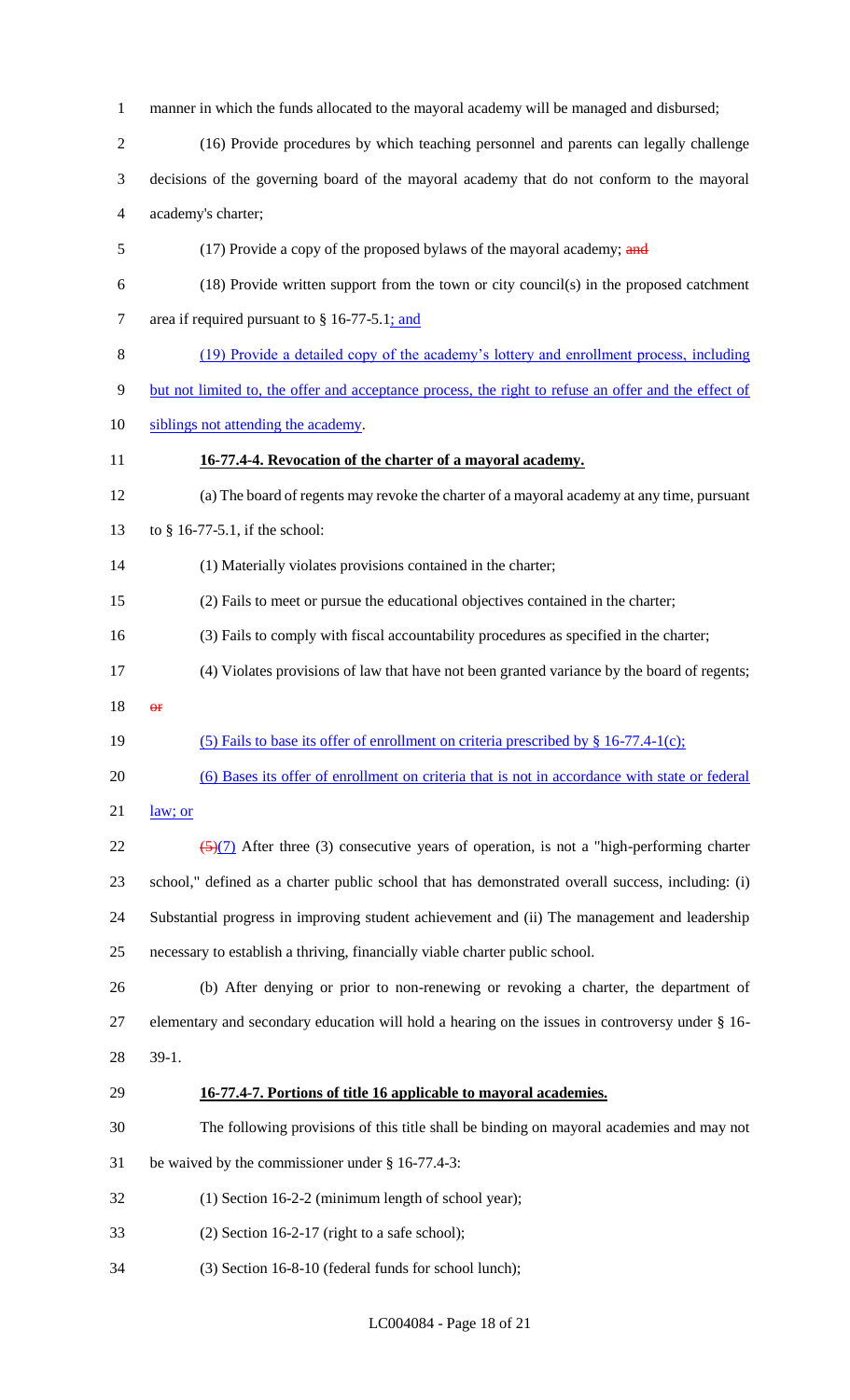manner in which the funds allocated to the mayoral academy will be managed and disbursed;

- (16) Provide procedures by which teaching personnel and parents can legally challenge
- decisions of the governing board of the mayoral academy that do not conform to the mayoral academy's charter;
- 5 (17) Provide a copy of the proposed bylaws of the mayoral academy; and
- (18) Provide written support from the town or city council(s) in the proposed catchment 7 area if required pursuant to § 16-77-5.1; and
- (19) Provide a detailed copy of the academy's lottery and enrollment process, including
- but not limited to, the offer and acceptance process, the right to refuse an offer and the effect of
- 10 siblings not attending the academy.
- **16-77.4-4. Revocation of the charter of a mayoral academy.**
- (a) The board of regents may revoke the charter of a mayoral academy at any time, pursuant
- to § 16-77-5.1, if the school:
- (1) Materially violates provisions contained in the charter;
- (2) Fails to meet or pursue the educational objectives contained in the charter;
- (3) Fails to comply with fiscal accountability procedures as specified in the charter;
- (4) Violates provisions of law that have not been granted variance by the board of regents;
- or
- (5) Fails to base its offer of enrollment on criteria prescribed by § 16-77.4-1(c);
- (6) Bases its offer of enrollment on criteria that is not in accordance with state or federal
- law; or
- $\frac{(5)(7)}{2}$  After three (3) consecutive years of operation, is not a "high-performing charter school," defined as a charter public school that has demonstrated overall success, including: (i) Substantial progress in improving student achievement and (ii) The management and leadership necessary to establish a thriving, financially viable charter public school.
- (b) After denying or prior to non-renewing or revoking a charter, the department of elementary and secondary education will hold a hearing on the issues in controversy under § 16- 39-1.

## **16-77.4-7. Portions of title 16 applicable to mayoral academies.**

- The following provisions of this title shall be binding on mayoral academies and may not
- be waived by the commissioner under § 16-77.4-3:
- (1) Section 16-2-2 (minimum length of school year);
- (2) Section 16-2-17 (right to a safe school);
- (3) Section 16-8-10 (federal funds for school lunch);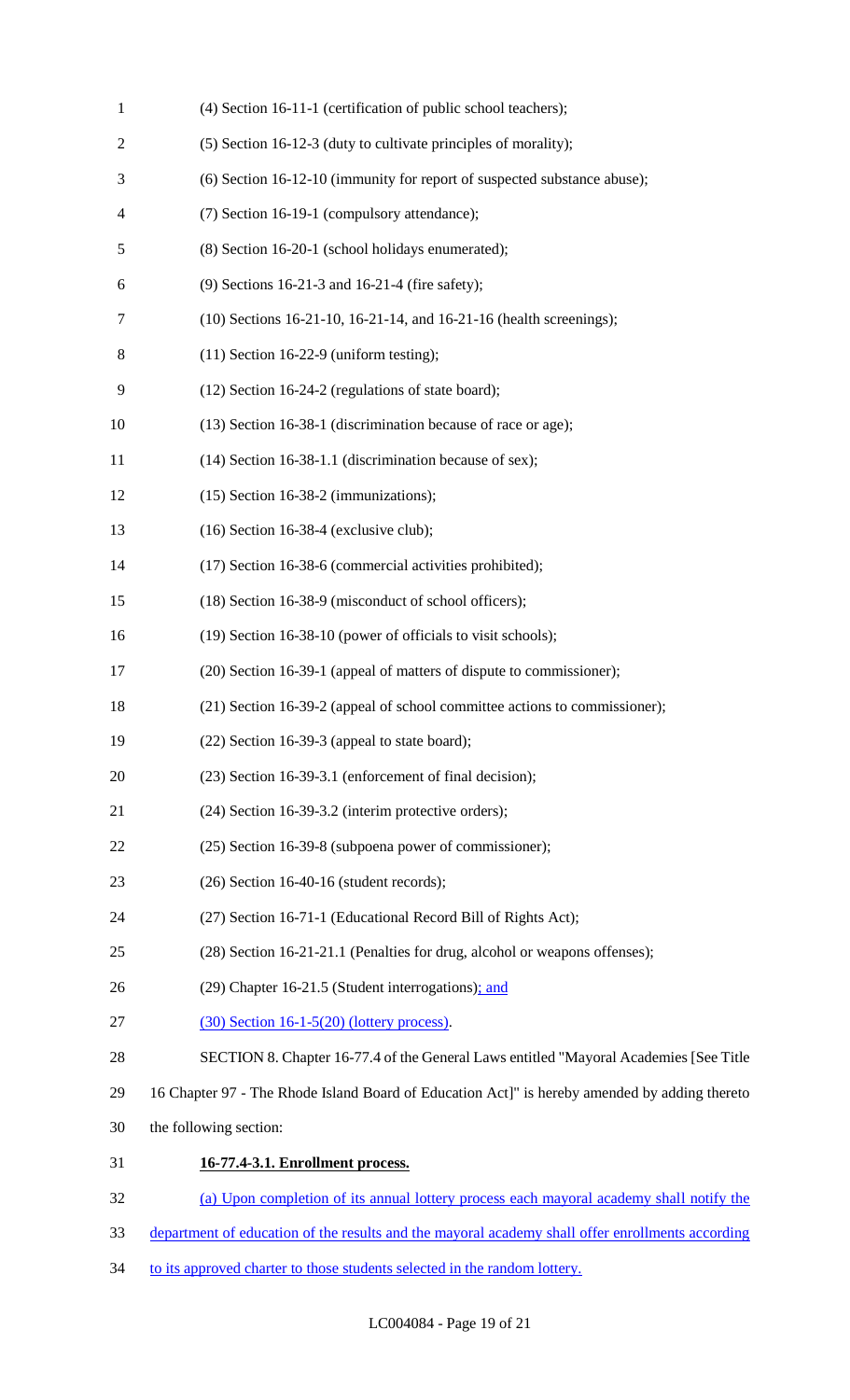| $\mathbf{1}$   | (4) Section 16-11-1 (certification of public school teachers);                                   |
|----------------|--------------------------------------------------------------------------------------------------|
| $\overline{c}$ | (5) Section 16-12-3 (duty to cultivate principles of morality);                                  |
| 3              | (6) Section 16-12-10 (immunity for report of suspected substance abuse);                         |
| 4              | (7) Section 16-19-1 (compulsory attendance);                                                     |
| 5              | (8) Section 16-20-1 (school holidays enumerated);                                                |
| 6              | (9) Sections 16-21-3 and 16-21-4 (fire safety);                                                  |
| $\tau$         | (10) Sections 16-21-10, 16-21-14, and 16-21-16 (health screenings);                              |
| 8              | $(11)$ Section 16-22-9 (uniform testing);                                                        |
| 9              | (12) Section 16-24-2 (regulations of state board);                                               |
| 10             | (13) Section 16-38-1 (discrimination because of race or age);                                    |
| 11             | (14) Section 16-38-1.1 (discrimination because of sex);                                          |
| 12             | $(15)$ Section 16-38-2 (immunizations);                                                          |
| 13             | $(16)$ Section 16-38-4 (exclusive club);                                                         |
| 14             | (17) Section 16-38-6 (commercial activities prohibited);                                         |
| 15             | (18) Section 16-38-9 (misconduct of school officers);                                            |
| 16             | (19) Section 16-38-10 (power of officials to visit schools);                                     |
| 17             | (20) Section 16-39-1 (appeal of matters of dispute to commissioner);                             |
| 18             | (21) Section 16-39-2 (appeal of school committee actions to commissioner);                       |
| 19             | $(22)$ Section 16-39-3 (appeal to state board);                                                  |
| 20             | (23) Section 16-39-3.1 (enforcement of final decision);                                          |
| 21             | (24) Section 16-39-3.2 (interim protective orders);                                              |
| 22             | (25) Section 16-39-8 (subpoena power of commissioner);                                           |
| 23             | $(26)$ Section 16-40-16 (student records);                                                       |
| 24             | (27) Section 16-71-1 (Educational Record Bill of Rights Act);                                    |
| 25             | (28) Section 16-21-21.1 (Penalties for drug, alcohol or weapons offenses);                       |
| 26             | (29) Chapter 16-21.5 (Student interrogations); and                                               |
| 27             | $(30)$ Section 16-1-5(20) (lottery process).                                                     |
| 28             | SECTION 8. Chapter 16-77.4 of the General Laws entitled "Mayoral Academies [See Title            |
| 29             | 16 Chapter 97 - The Rhode Island Board of Education Act]" is hereby amended by adding thereto    |
| 30             | the following section:                                                                           |
| 31             | 16-77.4-3.1. Enrollment process.                                                                 |
| 32             | (a) Upon completion of its annual lottery process each mayoral academy shall notify the          |
| 33             | department of education of the results and the mayoral academy shall offer enrollments according |

34 to its approved charter to those students selected in the random lottery.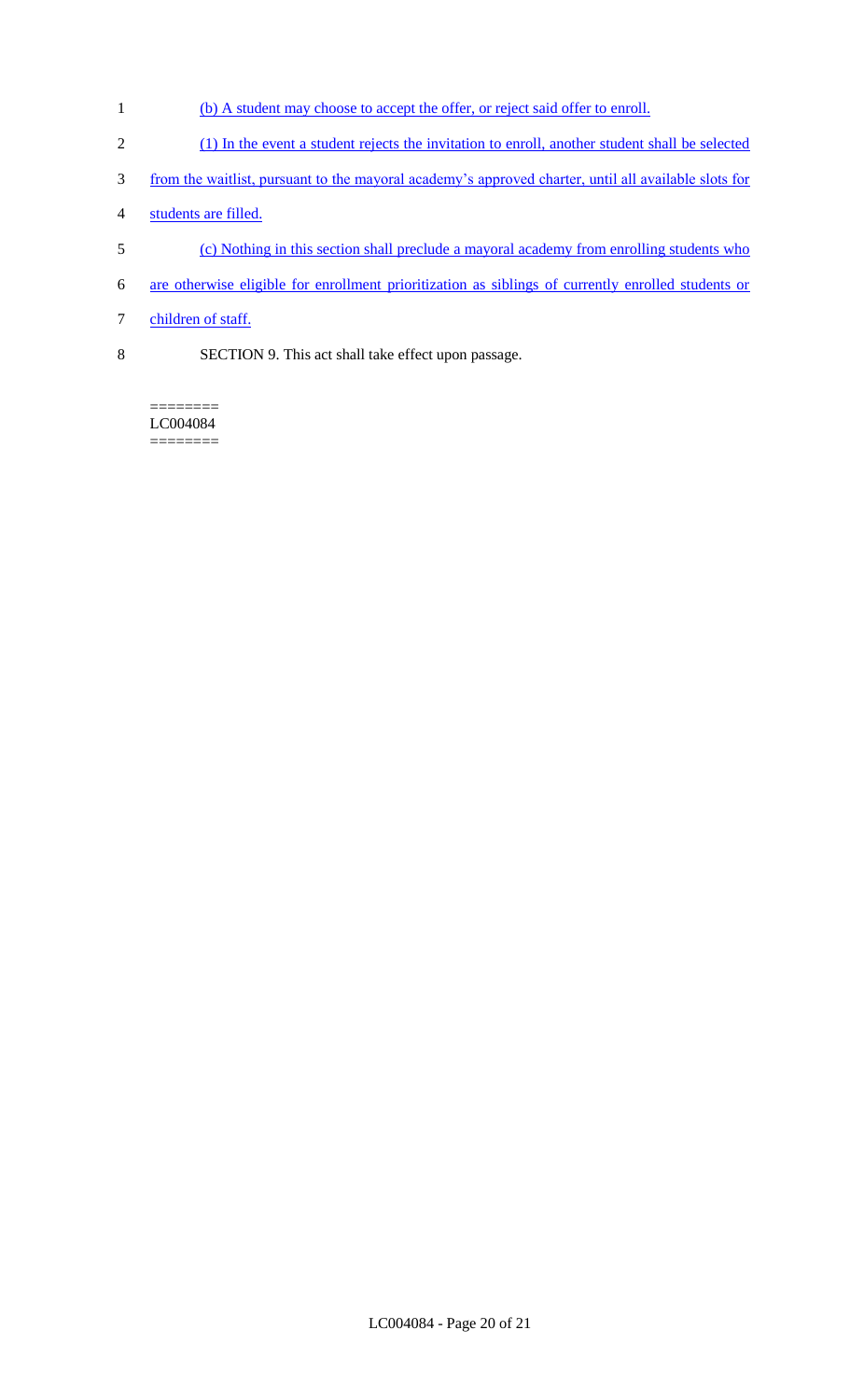- 1 (b) A student may choose to accept the offer, or reject said offer to enroll.
- 2 (1) In the event a student rejects the invitation to enroll, another student shall be selected
- 3 from the waitlist, pursuant to the mayoral academy's approved charter, until all available slots for
- 4 students are filled.
- 5 (c) Nothing in this section shall preclude a mayoral academy from enrolling students who
- 6 are otherwise eligible for enrollment prioritization as siblings of currently enrolled students or
- 7 children of staff.
- 8 SECTION 9. This act shall take effect upon passage.

LC004084  $=$ 

 $=$